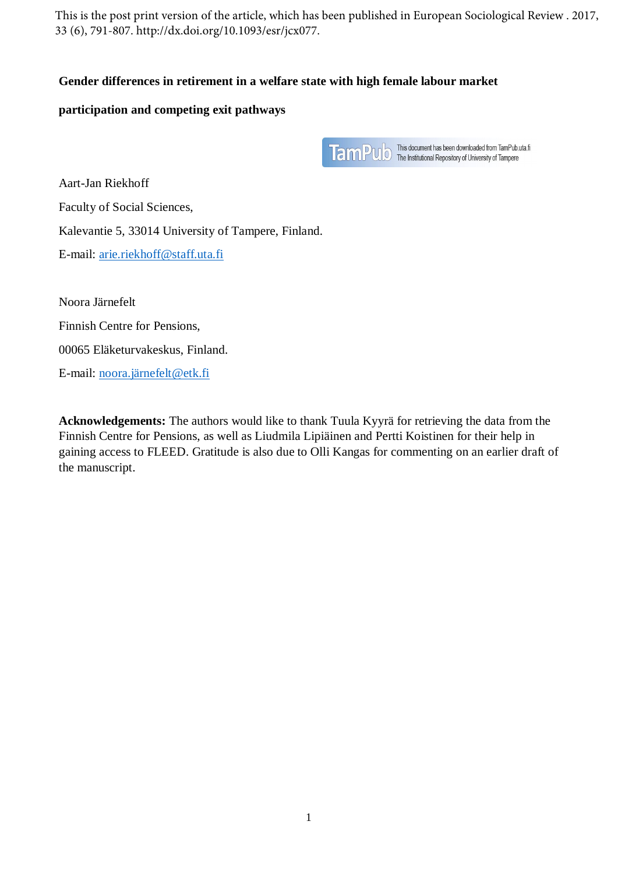This is the post print version of the article, which has been published in European Sociological Review . 2017, 33 (6), 791-807. http://dx.doi.org/10.1093/esr/jcx077.

# **Gender differences in retirement in a welfare state with high female labour market**

# **participation and competing exit pathways**

This document has been downloaded from TamPub.uta.fi TamPUb This document has been downloaded from TamPub.<br>The Institutional Repository of University of Tampere

Aart-Jan Riekhoff Faculty of Social Sciences, Kalevantie 5, 33014 University of Tampere, Finland. E-mail: [arie.riekhoff@staff.uta.fi](mailto:arie.riekhoff@staff.uta.fi)

Noora Järnefelt

Finnish Centre for Pensions,

00065 Eläketurvakeskus, Finland.

E-mail: [noora.järnefelt@etk.fi](mailto:noora.järnefelt@etk.fi)

**Acknowledgements:** The authors would like to thank Tuula Kyyrä for retrieving the data from the Finnish Centre for Pensions, as well as Liudmila Lipiäinen and Pertti Koistinen for their help in gaining access to FLEED. Gratitude is also due to Olli Kangas for commenting on an earlier draft of the manuscript.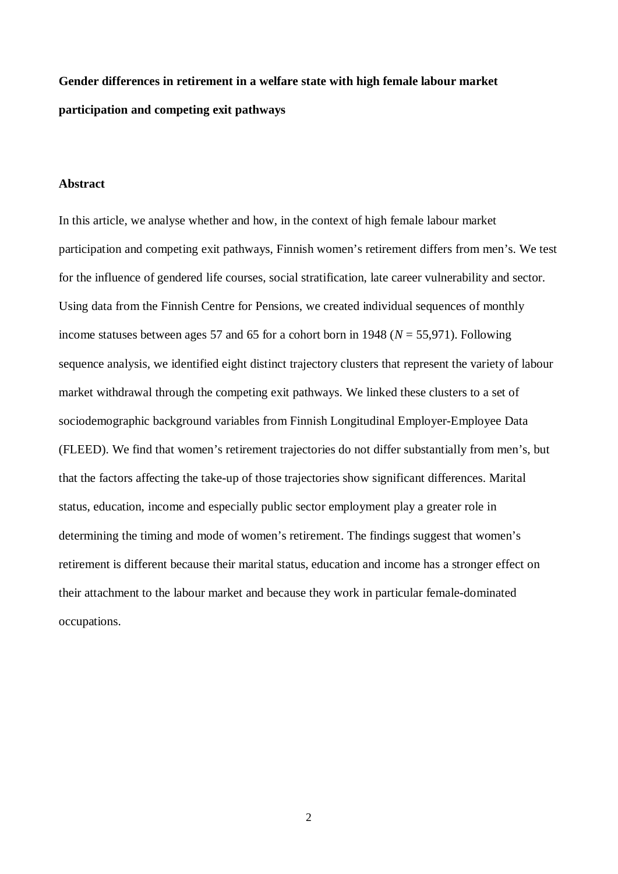# **Gender differences in retirement in a welfare state with high female labour market participation and competing exit pathways**

#### **Abstract**

In this article, we analyse whether and how, in the context of high female labour market participation and competing exit pathways, Finnish women's retirement differs from men's. We test for the influence of gendered life courses, social stratification, late career vulnerability and sector. Using data from the Finnish Centre for Pensions, we created individual sequences of monthly income statuses between ages 57 and 65 for a cohort born in 1948 (*N* = 55,971). Following sequence analysis, we identified eight distinct trajectory clusters that represent the variety of labour market withdrawal through the competing exit pathways. We linked these clusters to a set of sociodemographic background variables from Finnish Longitudinal Employer-Employee Data (FLEED). We find that women's retirement trajectories do not differ substantially from men's, but that the factors affecting the take-up of those trajectories show significant differences. Marital status, education, income and especially public sector employment play a greater role in determining the timing and mode of women's retirement. The findings suggest that women's retirement is different because their marital status, education and income has a stronger effect on their attachment to the labour market and because they work in particular female-dominated occupations.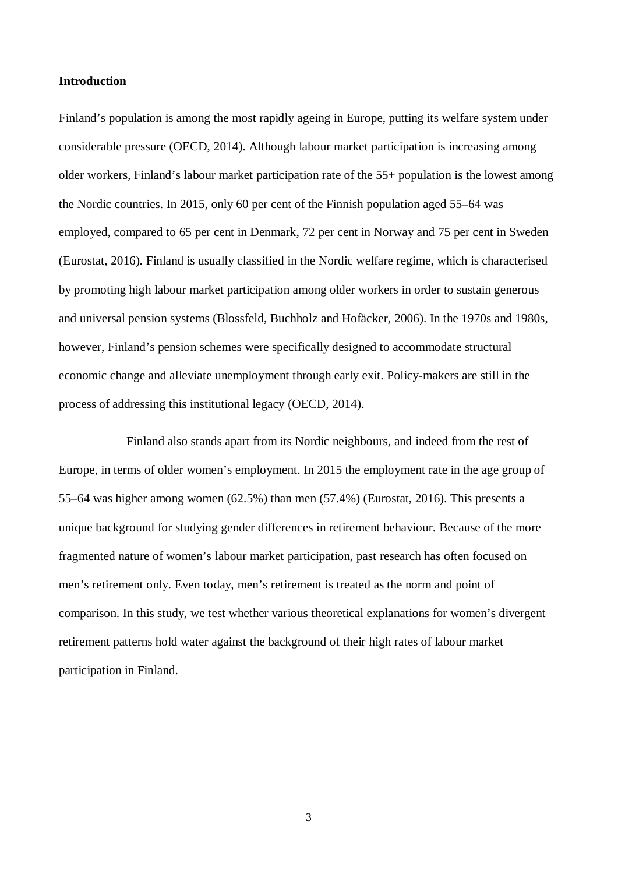#### **Introduction**

Finland's population is among the most rapidly ageing in Europe, putting its welfare system under considerable pressure (OECD, 2014). Although labour market participation is increasing among older workers, Finland's labour market participation rate of the 55+ population is the lowest among the Nordic countries. In 2015, only 60 per cent of the Finnish population aged 55–64 was employed, compared to 65 per cent in Denmark, 72 per cent in Norway and 75 per cent in Sweden (Eurostat, 2016). Finland is usually classified in the Nordic welfare regime, which is characterised by promoting high labour market participation among older workers in order to sustain generous and universal pension systems (Blossfeld, Buchholz and Hofäcker, 2006). In the 1970s and 1980s, however, Finland's pension schemes were specifically designed to accommodate structural economic change and alleviate unemployment through early exit. Policy-makers are still in the process of addressing this institutional legacy (OECD, 2014).

Finland also stands apart from its Nordic neighbours, and indeed from the rest of Europe, in terms of older women's employment. In 2015 the employment rate in the age group of 55–64 was higher among women (62.5%) than men (57.4%) (Eurostat, 2016). This presents a unique background for studying gender differences in retirement behaviour. Because of the more fragmented nature of women's labour market participation, past research has often focused on men's retirement only. Even today, men's retirement is treated as the norm and point of comparison. In this study, we test whether various theoretical explanations for women's divergent retirement patterns hold water against the background of their high rates of labour market participation in Finland.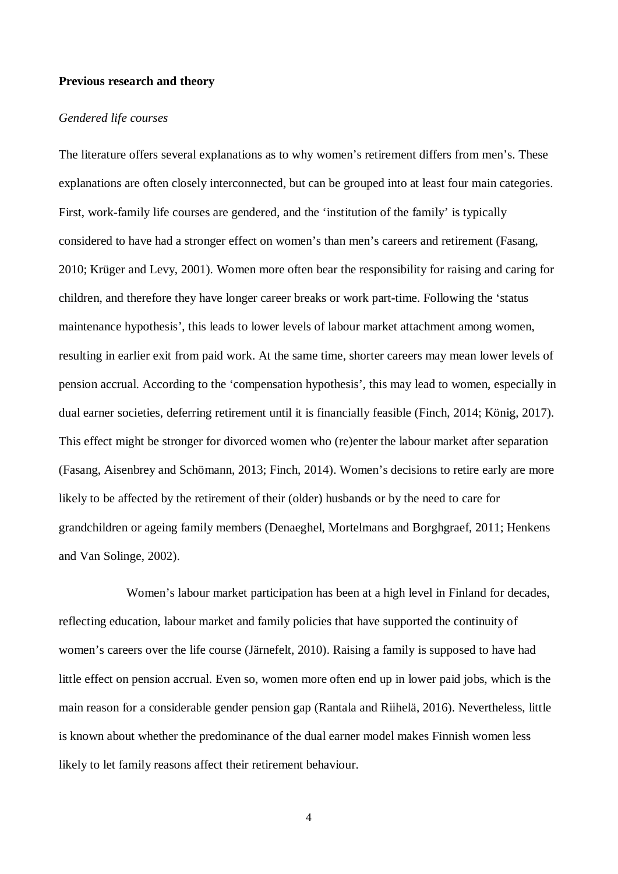#### **Previous research and theory**

#### *Gendered life courses*

The literature offers several explanations as to why women's retirement differs from men's. These explanations are often closely interconnected, but can be grouped into at least four main categories. First, work-family life courses are gendered, and the 'institution of the family' is typically considered to have had a stronger effect on women's than men's careers and retirement (Fasang, 2010; Krüger and Levy, 2001). Women more often bear the responsibility for raising and caring for children, and therefore they have longer career breaks or work part-time. Following the 'status maintenance hypothesis', this leads to lower levels of labour market attachment among women, resulting in earlier exit from paid work. At the same time, shorter careers may mean lower levels of pension accrual. According to the 'compensation hypothesis', this may lead to women, especially in dual earner societies, deferring retirement until it is financially feasible (Finch, 2014; König, 2017). This effect might be stronger for divorced women who (re)enter the labour market after separation (Fasang, Aisenbrey and Schömann, 2013; Finch, 2014). Women's decisions to retire early are more likely to be affected by the retirement of their (older) husbands or by the need to care for grandchildren or ageing family members (Denaeghel, Mortelmans and Borghgraef, 2011; Henkens and Van Solinge, 2002).

Women's labour market participation has been at a high level in Finland for decades, reflecting education, labour market and family policies that have supported the continuity of women's careers over the life course (Järnefelt, 2010). Raising a family is supposed to have had little effect on pension accrual. Even so, women more often end up in lower paid jobs, which is the main reason for a considerable gender pension gap (Rantala and Riihelä, 2016). Nevertheless, little is known about whether the predominance of the dual earner model makes Finnish women less likely to let family reasons affect their retirement behaviour.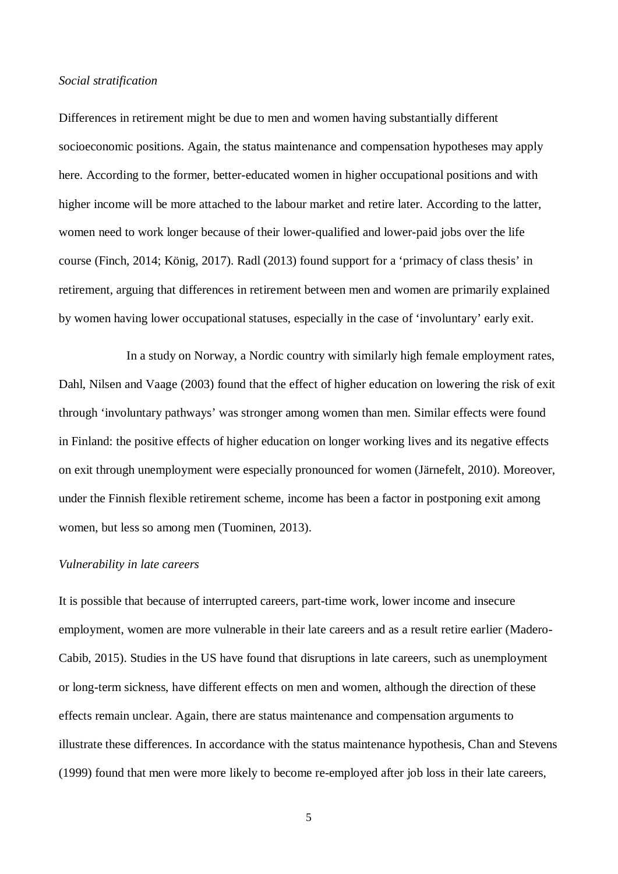#### *Social stratification*

Differences in retirement might be due to men and women having substantially different socioeconomic positions. Again, the status maintenance and compensation hypotheses may apply here. According to the former, better-educated women in higher occupational positions and with higher income will be more attached to the labour market and retire later. According to the latter, women need to work longer because of their lower-qualified and lower-paid jobs over the life course (Finch, 2014; König, 2017). Radl (2013) found support for a 'primacy of class thesis' in retirement, arguing that differences in retirement between men and women are primarily explained by women having lower occupational statuses, especially in the case of 'involuntary' early exit.

In a study on Norway, a Nordic country with similarly high female employment rates, Dahl, Nilsen and Vaage (2003) found that the effect of higher education on lowering the risk of exit through 'involuntary pathways' was stronger among women than men. Similar effects were found in Finland: the positive effects of higher education on longer working lives and its negative effects on exit through unemployment were especially pronounced for women (Järnefelt, 2010). Moreover, under the Finnish flexible retirement scheme, income has been a factor in postponing exit among women, but less so among men (Tuominen, 2013).

#### *Vulnerability in late careers*

It is possible that because of interrupted careers, part-time work, lower income and insecure employment, women are more vulnerable in their late careers and as a result retire earlier (Madero-Cabib, 2015). Studies in the US have found that disruptions in late careers, such as unemployment or long-term sickness, have different effects on men and women, although the direction of these effects remain unclear. Again, there are status maintenance and compensation arguments to illustrate these differences. In accordance with the status maintenance hypothesis, Chan and Stevens (1999) found that men were more likely to become re-employed after job loss in their late careers,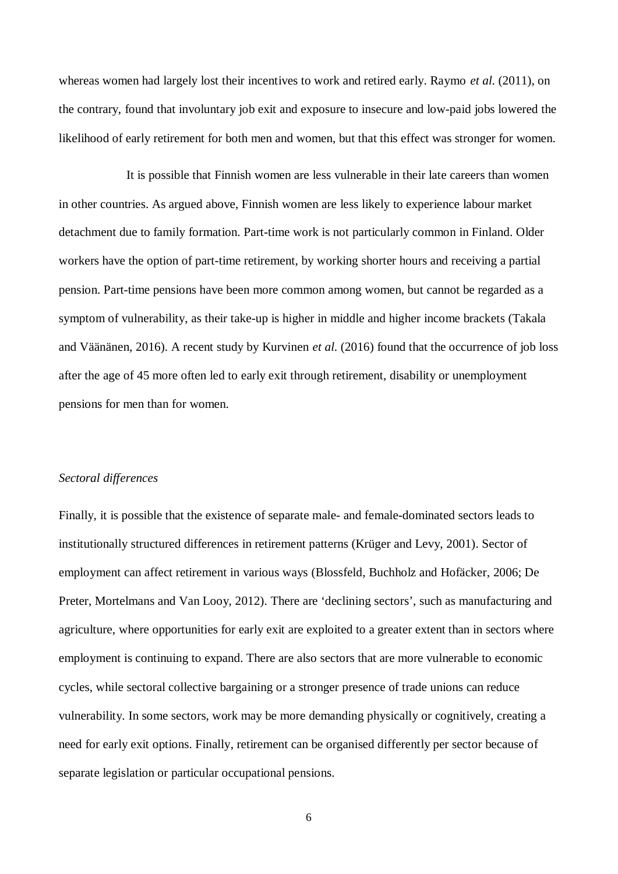whereas women had largely lost their incentives to work and retired early. Raymo *et al.* (2011), on the contrary, found that involuntary job exit and exposure to insecure and low-paid jobs lowered the likelihood of early retirement for both men and women, but that this effect was stronger for women.

It is possible that Finnish women are less vulnerable in their late careers than women in other countries. As argued above, Finnish women are less likely to experience labour market detachment due to family formation. Part-time work is not particularly common in Finland. Older workers have the option of part-time retirement, by working shorter hours and receiving a partial pension. Part-time pensions have been more common among women, but cannot be regarded as a symptom of vulnerability, as their take-up is higher in middle and higher income brackets (Takala and Väänänen, 2016). A recent study by Kurvinen *et al.* (2016) found that the occurrence of job loss after the age of 45 more often led to early exit through retirement, disability or unemployment pensions for men than for women.

#### *Sectoral differences*

Finally, it is possible that the existence of separate male- and female-dominated sectors leads to institutionally structured differences in retirement patterns (Krüger and Levy, 2001). Sector of employment can affect retirement in various ways (Blossfeld, Buchholz and Hofäcker, 2006; De Preter, Mortelmans and Van Looy, 2012). There are 'declining sectors', such as manufacturing and agriculture, where opportunities for early exit are exploited to a greater extent than in sectors where employment is continuing to expand. There are also sectors that are more vulnerable to economic cycles, while sectoral collective bargaining or a stronger presence of trade unions can reduce vulnerability. In some sectors, work may be more demanding physically or cognitively, creating a need for early exit options. Finally, retirement can be organised differently per sector because of separate legislation or particular occupational pensions.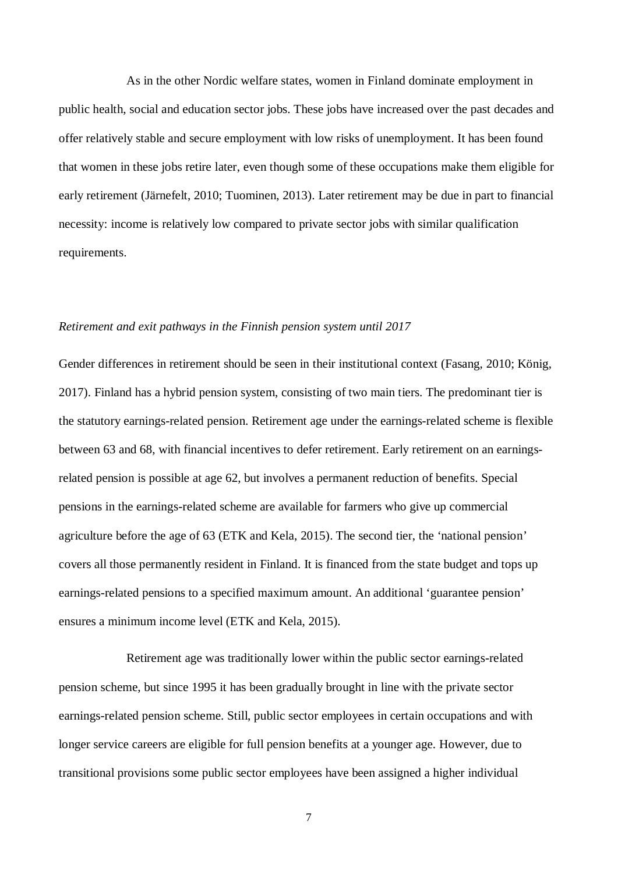As in the other Nordic welfare states, women in Finland dominate employment in public health, social and education sector jobs. These jobs have increased over the past decades and offer relatively stable and secure employment with low risks of unemployment. It has been found that women in these jobs retire later, even though some of these occupations make them eligible for early retirement (Järnefelt, 2010; Tuominen, 2013). Later retirement may be due in part to financial necessity: income is relatively low compared to private sector jobs with similar qualification requirements.

#### *Retirement and exit pathways in the Finnish pension system until 2017*

Gender differences in retirement should be seen in their institutional context (Fasang, 2010; König, 2017). Finland has a hybrid pension system, consisting of two main tiers. The predominant tier is the statutory earnings-related pension. Retirement age under the earnings-related scheme is flexible between 63 and 68, with financial incentives to defer retirement. Early retirement on an earningsrelated pension is possible at age 62, but involves a permanent reduction of benefits. Special pensions in the earnings-related scheme are available for farmers who give up commercial agriculture before the age of 63 (ETK and Kela, 2015). The second tier, the 'national pension' covers all those permanently resident in Finland. It is financed from the state budget and tops up earnings-related pensions to a specified maximum amount. An additional 'guarantee pension' ensures a minimum income level (ETK and Kela, 2015).

Retirement age was traditionally lower within the public sector earnings-related pension scheme, but since 1995 it has been gradually brought in line with the private sector earnings-related pension scheme. Still, public sector employees in certain occupations and with longer service careers are eligible for full pension benefits at a younger age. However, due to transitional provisions some public sector employees have been assigned a higher individual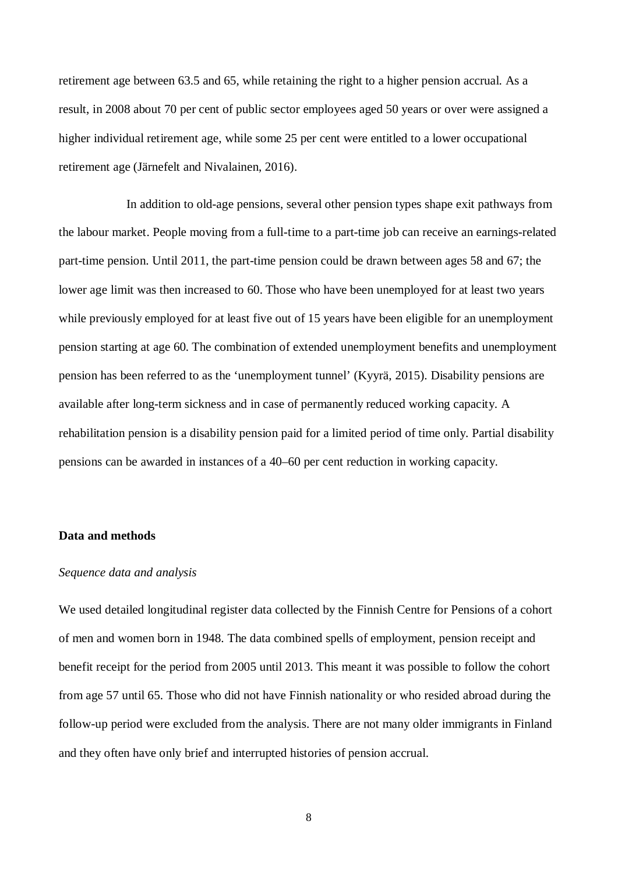retirement age between 63.5 and 65, while retaining the right to a higher pension accrual. As a result, in 2008 about 70 per cent of public sector employees aged 50 years or over were assigned a higher individual retirement age, while some 25 per cent were entitled to a lower occupational retirement age (Järnefelt and Nivalainen, 2016).

In addition to old-age pensions, several other pension types shape exit pathways from the labour market. People moving from a full-time to a part-time job can receive an earnings-related part-time pension. Until 2011, the part-time pension could be drawn between ages 58 and 67; the lower age limit was then increased to 60. Those who have been unemployed for at least two years while previously employed for at least five out of 15 years have been eligible for an unemployment pension starting at age 60. The combination of extended unemployment benefits and unemployment pension has been referred to as the 'unemployment tunnel' (Kyyrä, 2015). Disability pensions are available after long-term sickness and in case of permanently reduced working capacity. A rehabilitation pension is a disability pension paid for a limited period of time only. Partial disability pensions can be awarded in instances of a 40–60 per cent reduction in working capacity.

#### **Data and methods**

#### *Sequence data and analysis*

We used detailed longitudinal register data collected by the Finnish Centre for Pensions of a cohort of men and women born in 1948. The data combined spells of employment, pension receipt and benefit receipt for the period from 2005 until 2013. This meant it was possible to follow the cohort from age 57 until 65. Those who did not have Finnish nationality or who resided abroad during the follow-up period were excluded from the analysis. There are not many older immigrants in Finland and they often have only brief and interrupted histories of pension accrual.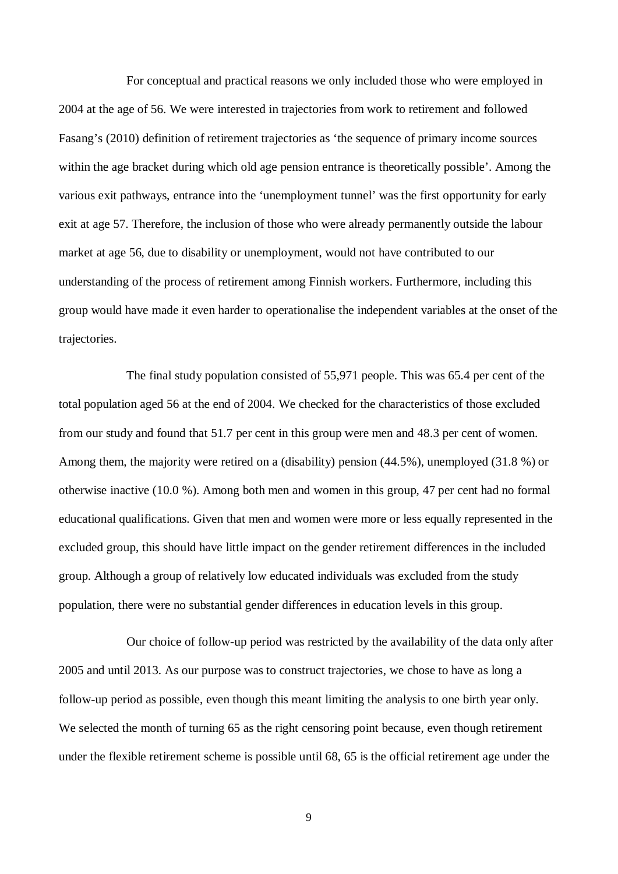For conceptual and practical reasons we only included those who were employed in 2004 at the age of 56. We were interested in trajectories from work to retirement and followed Fasang's (2010) definition of retirement trajectories as 'the sequence of primary income sources within the age bracket during which old age pension entrance is theoretically possible'. Among the various exit pathways, entrance into the 'unemployment tunnel' was the first opportunity for early exit at age 57. Therefore, the inclusion of those who were already permanently outside the labour market at age 56, due to disability or unemployment, would not have contributed to our understanding of the process of retirement among Finnish workers. Furthermore, including this group would have made it even harder to operationalise the independent variables at the onset of the trajectories.

The final study population consisted of 55,971 people. This was 65.4 per cent of the total population aged 56 at the end of 2004. We checked for the characteristics of those excluded from our study and found that 51.7 per cent in this group were men and 48.3 per cent of women. Among them, the majority were retired on a (disability) pension (44.5%), unemployed (31.8 %) or otherwise inactive (10.0 %). Among both men and women in this group, 47 per cent had no formal educational qualifications. Given that men and women were more or less equally represented in the excluded group, this should have little impact on the gender retirement differences in the included group. Although a group of relatively low educated individuals was excluded from the study population, there were no substantial gender differences in education levels in this group.

Our choice of follow-up period was restricted by the availability of the data only after 2005 and until 2013. As our purpose was to construct trajectories, we chose to have as long a follow-up period as possible, even though this meant limiting the analysis to one birth year only. We selected the month of turning 65 as the right censoring point because, even though retirement under the flexible retirement scheme is possible until 68, 65 is the official retirement age under the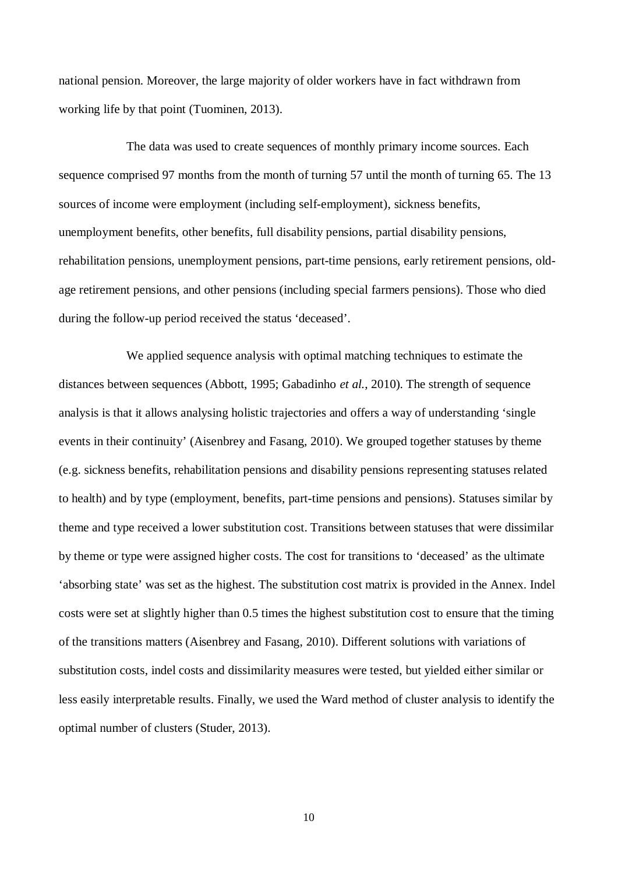national pension. Moreover, the large majority of older workers have in fact withdrawn from working life by that point (Tuominen, 2013).

The data was used to create sequences of monthly primary income sources. Each sequence comprised 97 months from the month of turning 57 until the month of turning 65. The 13 sources of income were employment (including self-employment), sickness benefits, unemployment benefits, other benefits, full disability pensions, partial disability pensions, rehabilitation pensions, unemployment pensions, part-time pensions, early retirement pensions, oldage retirement pensions, and other pensions (including special farmers pensions). Those who died during the follow-up period received the status 'deceased'.

We applied sequence analysis with optimal matching techniques to estimate the distances between sequences (Abbott, 1995; Gabadinho *et al.*, 2010). The strength of sequence analysis is that it allows analysing holistic trajectories and offers a way of understanding 'single events in their continuity' (Aisenbrey and Fasang, 2010). We grouped together statuses by theme (e.g. sickness benefits, rehabilitation pensions and disability pensions representing statuses related to health) and by type (employment, benefits, part-time pensions and pensions). Statuses similar by theme and type received a lower substitution cost. Transitions between statuses that were dissimilar by theme or type were assigned higher costs. The cost for transitions to 'deceased' as the ultimate 'absorbing state' was set as the highest. The substitution cost matrix is provided in the Annex. Indel costs were set at slightly higher than 0.5 times the highest substitution cost to ensure that the timing of the transitions matters (Aisenbrey and Fasang, 2010). Different solutions with variations of substitution costs, indel costs and dissimilarity measures were tested, but yielded either similar or less easily interpretable results. Finally, we used the Ward method of cluster analysis to identify the optimal number of clusters (Studer, 2013).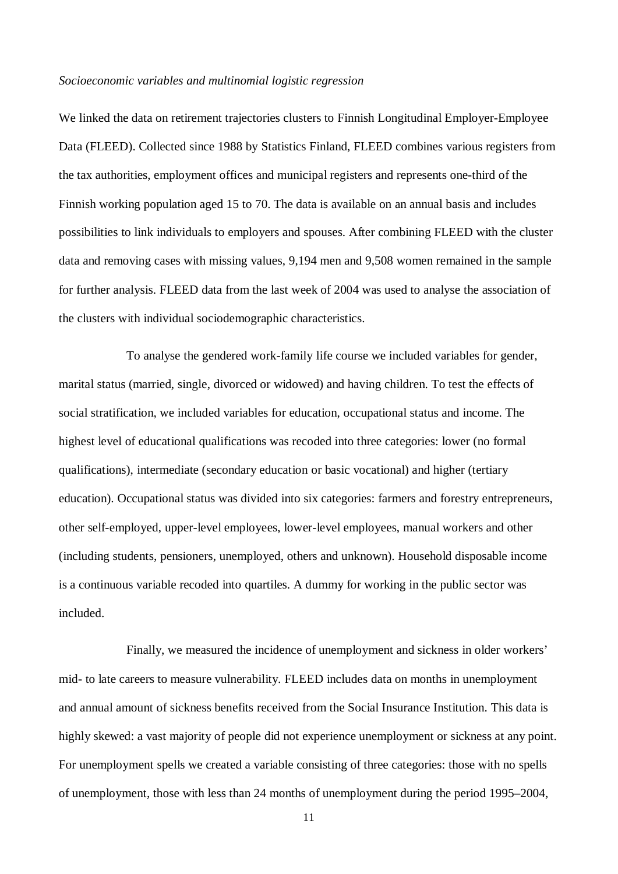#### *Socioeconomic variables and multinomial logistic regression*

We linked the data on retirement trajectories clusters to Finnish Longitudinal Employer-Employee Data (FLEED). Collected since 1988 by Statistics Finland, FLEED combines various registers from the tax authorities, employment offices and municipal registers and represents one-third of the Finnish working population aged 15 to 70. The data is available on an annual basis and includes possibilities to link individuals to employers and spouses. After combining FLEED with the cluster data and removing cases with missing values, 9,194 men and 9,508 women remained in the sample for further analysis. FLEED data from the last week of 2004 was used to analyse the association of the clusters with individual sociodemographic characteristics.

To analyse the gendered work-family life course we included variables for gender, marital status (married, single, divorced or widowed) and having children. To test the effects of social stratification, we included variables for education, occupational status and income. The highest level of educational qualifications was recoded into three categories: lower (no formal qualifications), intermediate (secondary education or basic vocational) and higher (tertiary education). Occupational status was divided into six categories: farmers and forestry entrepreneurs, other self-employed, upper-level employees, lower-level employees, manual workers and other (including students, pensioners, unemployed, others and unknown). Household disposable income is a continuous variable recoded into quartiles. A dummy for working in the public sector was included.

Finally, we measured the incidence of unemployment and sickness in older workers' mid- to late careers to measure vulnerability. FLEED includes data on months in unemployment and annual amount of sickness benefits received from the Social Insurance Institution. This data is highly skewed: a vast majority of people did not experience unemployment or sickness at any point. For unemployment spells we created a variable consisting of three categories: those with no spells of unemployment, those with less than 24 months of unemployment during the period 1995–2004,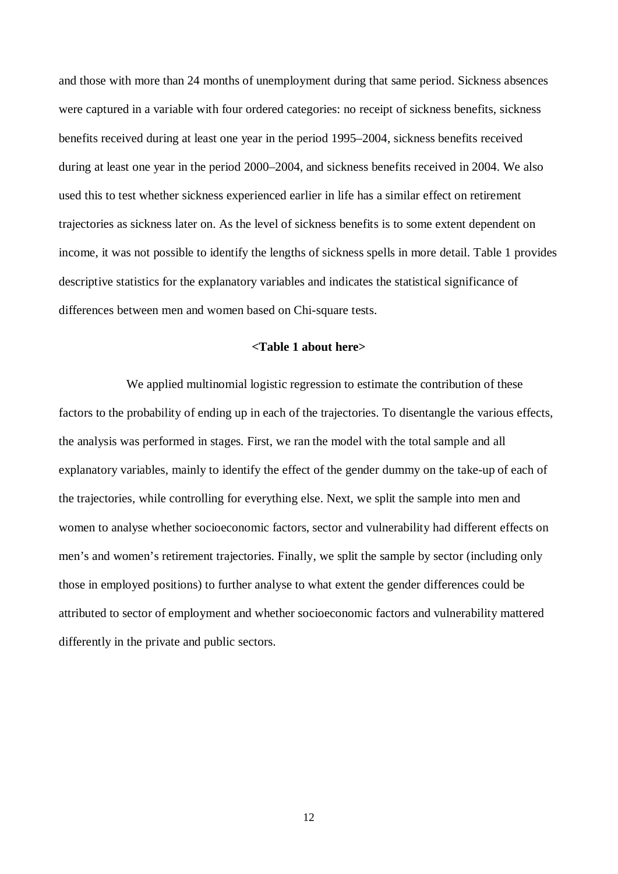and those with more than 24 months of unemployment during that same period. Sickness absences were captured in a variable with four ordered categories: no receipt of sickness benefits, sickness benefits received during at least one year in the period 1995–2004, sickness benefits received during at least one year in the period 2000–2004, and sickness benefits received in 2004. We also used this to test whether sickness experienced earlier in life has a similar effect on retirement trajectories as sickness later on. As the level of sickness benefits is to some extent dependent on income, it was not possible to identify the lengths of sickness spells in more detail. Table 1 provides descriptive statistics for the explanatory variables and indicates the statistical significance of differences between men and women based on Chi-square tests.

#### **<Table 1 about here>**

We applied multinomial logistic regression to estimate the contribution of these factors to the probability of ending up in each of the trajectories. To disentangle the various effects, the analysis was performed in stages. First, we ran the model with the total sample and all explanatory variables, mainly to identify the effect of the gender dummy on the take-up of each of the trajectories, while controlling for everything else. Next, we split the sample into men and women to analyse whether socioeconomic factors, sector and vulnerability had different effects on men's and women's retirement trajectories. Finally, we split the sample by sector (including only those in employed positions) to further analyse to what extent the gender differences could be attributed to sector of employment and whether socioeconomic factors and vulnerability mattered differently in the private and public sectors.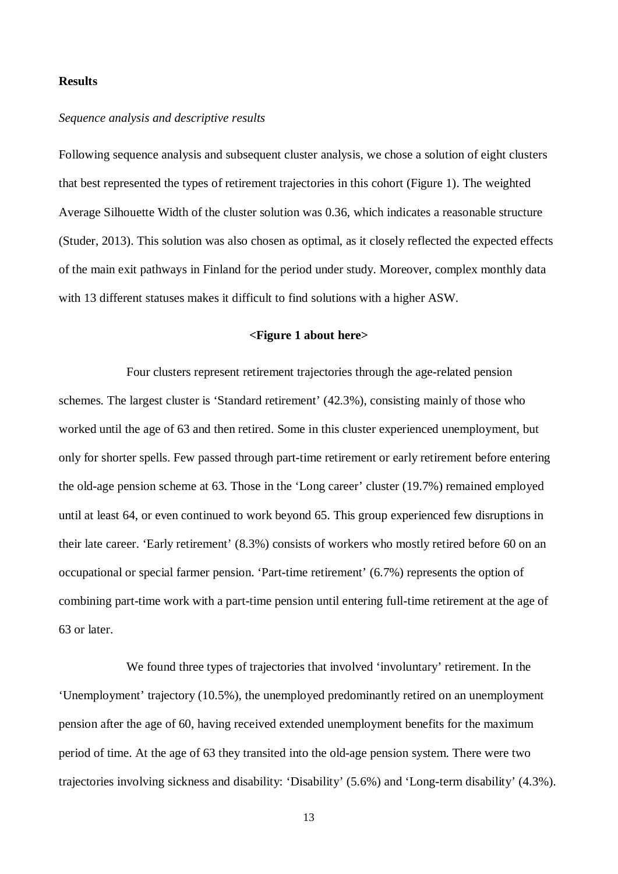#### **Results**

#### *Sequence analysis and descriptive results*

Following sequence analysis and subsequent cluster analysis, we chose a solution of eight clusters that best represented the types of retirement trajectories in this cohort (Figure 1). The weighted Average Silhouette Width of the cluster solution was 0.36, which indicates a reasonable structure (Studer, 2013). This solution was also chosen as optimal, as it closely reflected the expected effects of the main exit pathways in Finland for the period under study. Moreover, complex monthly data with 13 different statuses makes it difficult to find solutions with a higher ASW.

# **<Figure 1 about here>**

Four clusters represent retirement trajectories through the age-related pension schemes. The largest cluster is 'Standard retirement' (42.3%), consisting mainly of those who worked until the age of 63 and then retired. Some in this cluster experienced unemployment, but only for shorter spells. Few passed through part-time retirement or early retirement before entering the old-age pension scheme at 63. Those in the 'Long career' cluster (19.7%) remained employed until at least 64, or even continued to work beyond 65. This group experienced few disruptions in their late career. 'Early retirement' (8.3%) consists of workers who mostly retired before 60 on an occupational or special farmer pension. 'Part-time retirement' (6.7%) represents the option of combining part-time work with a part-time pension until entering full-time retirement at the age of 63 or later.

We found three types of trajectories that involved 'involuntary' retirement. In the 'Unemployment' trajectory (10.5%), the unemployed predominantly retired on an unemployment pension after the age of 60, having received extended unemployment benefits for the maximum period of time. At the age of 63 they transited into the old-age pension system. There were two trajectories involving sickness and disability: 'Disability' (5.6%) and 'Long-term disability' (4.3%).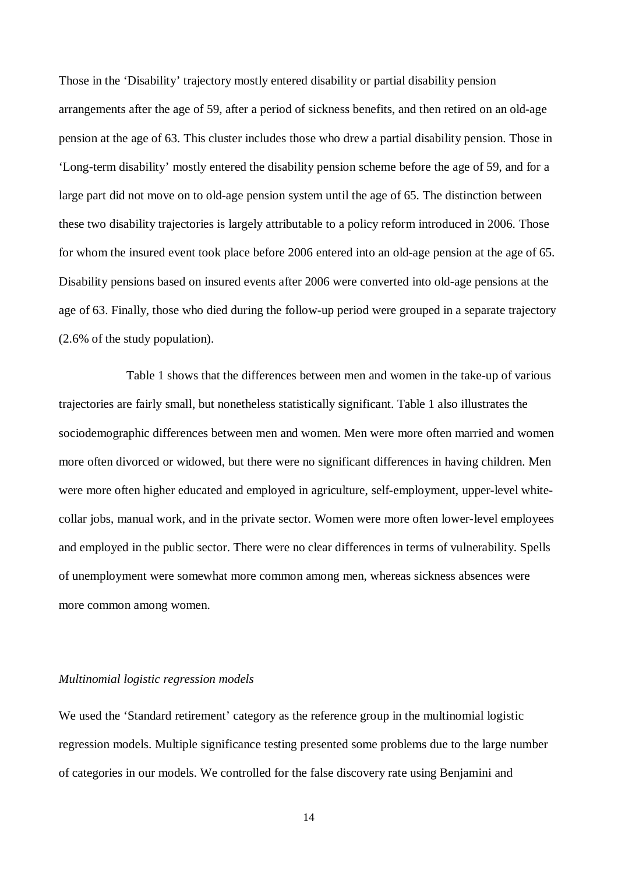Those in the 'Disability' trajectory mostly entered disability or partial disability pension arrangements after the age of 59, after a period of sickness benefits, and then retired on an old-age pension at the age of 63. This cluster includes those who drew a partial disability pension. Those in 'Long-term disability' mostly entered the disability pension scheme before the age of 59, and for a large part did not move on to old-age pension system until the age of 65. The distinction between these two disability trajectories is largely attributable to a policy reform introduced in 2006. Those for whom the insured event took place before 2006 entered into an old-age pension at the age of 65. Disability pensions based on insured events after 2006 were converted into old-age pensions at the age of 63. Finally, those who died during the follow-up period were grouped in a separate trajectory (2.6% of the study population).

Table 1 shows that the differences between men and women in the take-up of various trajectories are fairly small, but nonetheless statistically significant. Table 1 also illustrates the sociodemographic differences between men and women. Men were more often married and women more often divorced or widowed, but there were no significant differences in having children. Men were more often higher educated and employed in agriculture, self-employment, upper-level whitecollar jobs, manual work, and in the private sector. Women were more often lower-level employees and employed in the public sector. There were no clear differences in terms of vulnerability. Spells of unemployment were somewhat more common among men, whereas sickness absences were more common among women.

#### *Multinomial logistic regression models*

We used the 'Standard retirement' category as the reference group in the multinomial logistic regression models. Multiple significance testing presented some problems due to the large number of categories in our models. We controlled for the false discovery rate using Benjamini and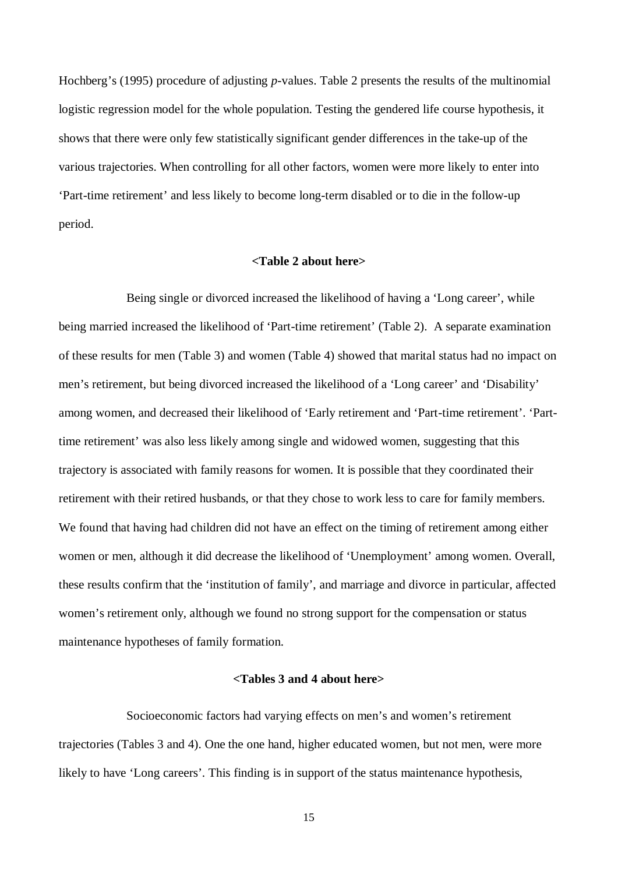Hochberg's (1995) procedure of adjusting *p*-values. Table 2 presents the results of the multinomial logistic regression model for the whole population. Testing the gendered life course hypothesis, it shows that there were only few statistically significant gender differences in the take-up of the various trajectories. When controlling for all other factors, women were more likely to enter into 'Part-time retirement' and less likely to become long-term disabled or to die in the follow-up period.

#### **<Table 2 about here>**

Being single or divorced increased the likelihood of having a 'Long career', while being married increased the likelihood of 'Part-time retirement' (Table 2). A separate examination of these results for men (Table 3) and women (Table 4) showed that marital status had no impact on men's retirement, but being divorced increased the likelihood of a 'Long career' and 'Disability' among women, and decreased their likelihood of 'Early retirement and 'Part-time retirement'. 'Parttime retirement' was also less likely among single and widowed women, suggesting that this trajectory is associated with family reasons for women. It is possible that they coordinated their retirement with their retired husbands, or that they chose to work less to care for family members. We found that having had children did not have an effect on the timing of retirement among either women or men, although it did decrease the likelihood of 'Unemployment' among women. Overall, these results confirm that the 'institution of family', and marriage and divorce in particular, affected women's retirement only, although we found no strong support for the compensation or status maintenance hypotheses of family formation.

# **<Tables 3 and 4 about here>**

Socioeconomic factors had varying effects on men's and women's retirement trajectories (Tables 3 and 4). One the one hand, higher educated women, but not men, were more likely to have 'Long careers'. This finding is in support of the status maintenance hypothesis,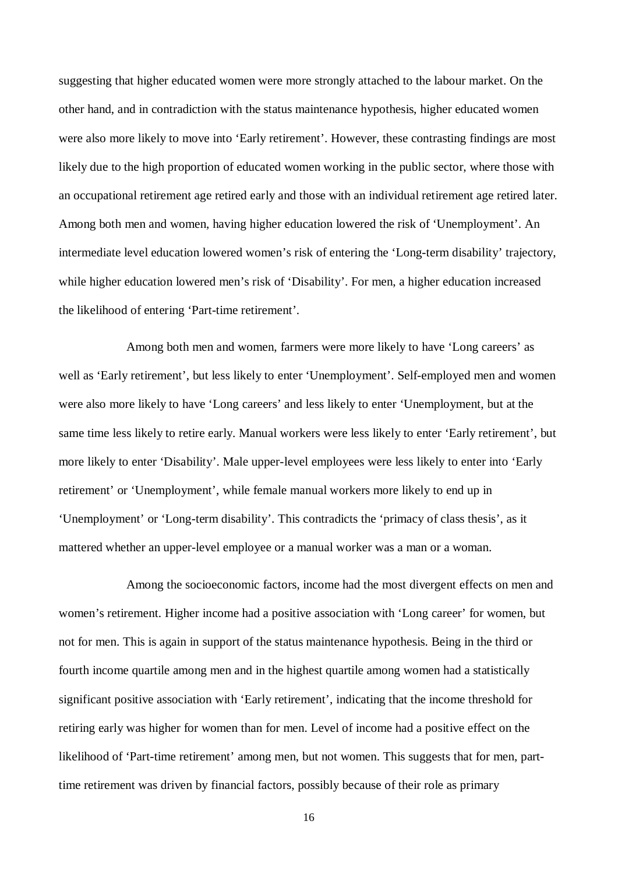suggesting that higher educated women were more strongly attached to the labour market. On the other hand, and in contradiction with the status maintenance hypothesis, higher educated women were also more likely to move into 'Early retirement'. However, these contrasting findings are most likely due to the high proportion of educated women working in the public sector, where those with an occupational retirement age retired early and those with an individual retirement age retired later. Among both men and women, having higher education lowered the risk of 'Unemployment'. An intermediate level education lowered women's risk of entering the 'Long-term disability' trajectory, while higher education lowered men's risk of 'Disability'. For men, a higher education increased the likelihood of entering 'Part-time retirement'.

Among both men and women, farmers were more likely to have 'Long careers' as well as 'Early retirement', but less likely to enter 'Unemployment'. Self-employed men and women were also more likely to have 'Long careers' and less likely to enter 'Unemployment, but at the same time less likely to retire early. Manual workers were less likely to enter 'Early retirement', but more likely to enter 'Disability'. Male upper-level employees were less likely to enter into 'Early retirement' or 'Unemployment', while female manual workers more likely to end up in 'Unemployment' or 'Long-term disability'. This contradicts the 'primacy of class thesis', as it mattered whether an upper-level employee or a manual worker was a man or a woman.

Among the socioeconomic factors, income had the most divergent effects on men and women's retirement. Higher income had a positive association with 'Long career' for women, but not for men. This is again in support of the status maintenance hypothesis. Being in the third or fourth income quartile among men and in the highest quartile among women had a statistically significant positive association with 'Early retirement', indicating that the income threshold for retiring early was higher for women than for men. Level of income had a positive effect on the likelihood of 'Part-time retirement' among men, but not women. This suggests that for men, parttime retirement was driven by financial factors, possibly because of their role as primary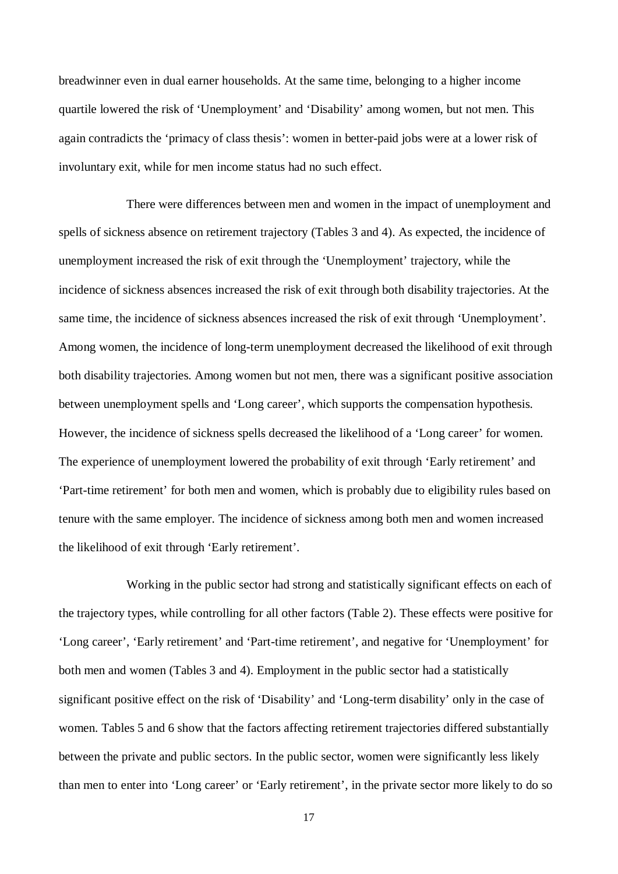breadwinner even in dual earner households. At the same time, belonging to a higher income quartile lowered the risk of 'Unemployment' and 'Disability' among women, but not men. This again contradicts the 'primacy of class thesis': women in better-paid jobs were at a lower risk of involuntary exit, while for men income status had no such effect.

There were differences between men and women in the impact of unemployment and spells of sickness absence on retirement trajectory (Tables 3 and 4). As expected, the incidence of unemployment increased the risk of exit through the 'Unemployment' trajectory, while the incidence of sickness absences increased the risk of exit through both disability trajectories. At the same time, the incidence of sickness absences increased the risk of exit through 'Unemployment'. Among women, the incidence of long-term unemployment decreased the likelihood of exit through both disability trajectories. Among women but not men, there was a significant positive association between unemployment spells and 'Long career', which supports the compensation hypothesis. However, the incidence of sickness spells decreased the likelihood of a 'Long career' for women. The experience of unemployment lowered the probability of exit through 'Early retirement' and 'Part-time retirement' for both men and women, which is probably due to eligibility rules based on tenure with the same employer. The incidence of sickness among both men and women increased the likelihood of exit through 'Early retirement'.

Working in the public sector had strong and statistically significant effects on each of the trajectory types, while controlling for all other factors (Table 2). These effects were positive for 'Long career', 'Early retirement' and 'Part-time retirement', and negative for 'Unemployment' for both men and women (Tables 3 and 4). Employment in the public sector had a statistically significant positive effect on the risk of 'Disability' and 'Long-term disability' only in the case of women. Tables 5 and 6 show that the factors affecting retirement trajectories differed substantially between the private and public sectors. In the public sector, women were significantly less likely than men to enter into 'Long career' or 'Early retirement', in the private sector more likely to do so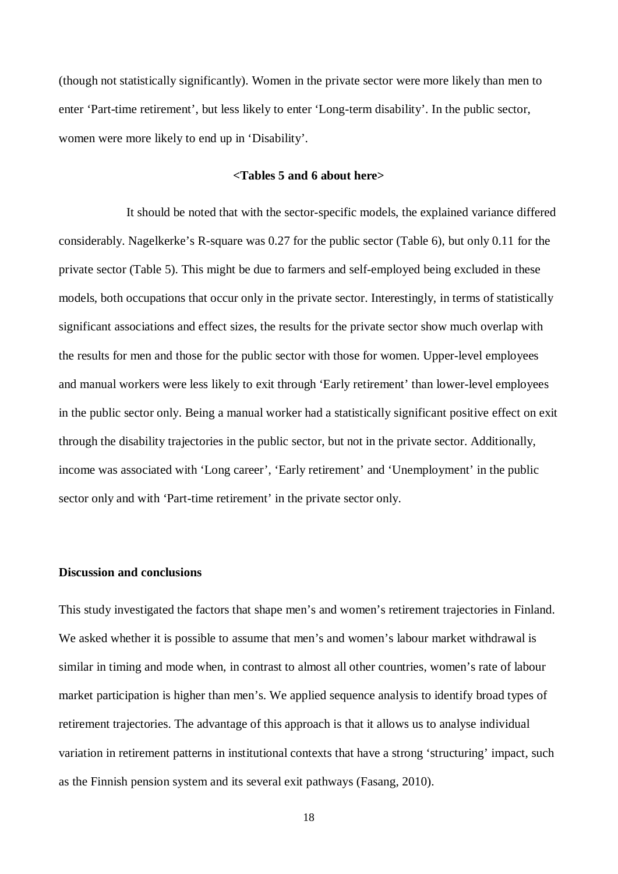(though not statistically significantly). Women in the private sector were more likely than men to enter 'Part-time retirement', but less likely to enter 'Long-term disability'. In the public sector, women were more likely to end up in 'Disability'.

### **<Tables 5 and 6 about here>**

It should be noted that with the sector-specific models, the explained variance differed considerably. Nagelkerke's R-square was 0.27 for the public sector (Table 6), but only 0.11 for the private sector (Table 5). This might be due to farmers and self-employed being excluded in these models, both occupations that occur only in the private sector. Interestingly, in terms of statistically significant associations and effect sizes, the results for the private sector show much overlap with the results for men and those for the public sector with those for women. Upper-level employees and manual workers were less likely to exit through 'Early retirement' than lower-level employees in the public sector only. Being a manual worker had a statistically significant positive effect on exit through the disability trajectories in the public sector, but not in the private sector. Additionally, income was associated with 'Long career', 'Early retirement' and 'Unemployment' in the public sector only and with 'Part-time retirement' in the private sector only.

#### **Discussion and conclusions**

This study investigated the factors that shape men's and women's retirement trajectories in Finland. We asked whether it is possible to assume that men's and women's labour market withdrawal is similar in timing and mode when, in contrast to almost all other countries, women's rate of labour market participation is higher than men's. We applied sequence analysis to identify broad types of retirement trajectories. The advantage of this approach is that it allows us to analyse individual variation in retirement patterns in institutional contexts that have a strong 'structuring' impact, such as the Finnish pension system and its several exit pathways (Fasang, 2010).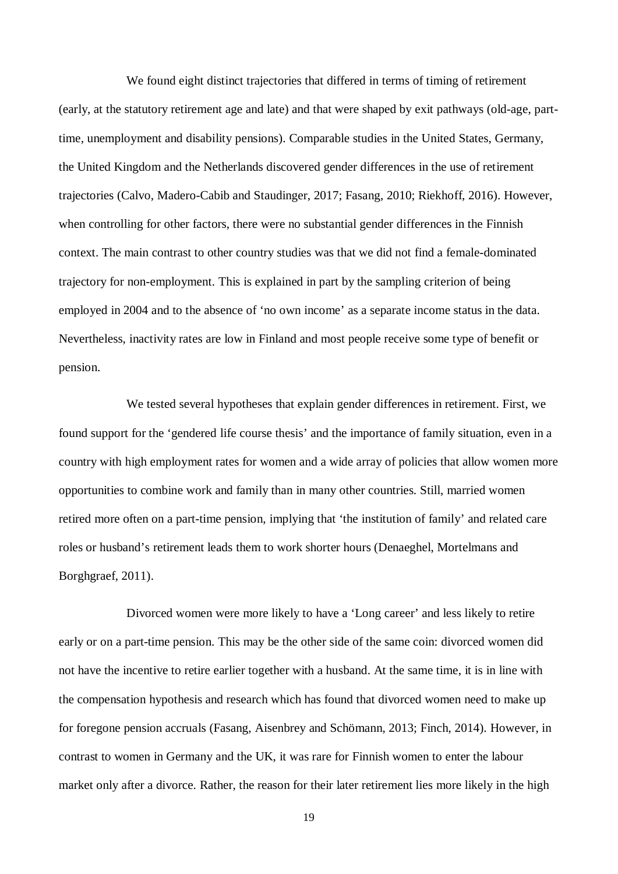We found eight distinct trajectories that differed in terms of timing of retirement (early, at the statutory retirement age and late) and that were shaped by exit pathways (old-age, parttime, unemployment and disability pensions). Comparable studies in the United States, Germany, the United Kingdom and the Netherlands discovered gender differences in the use of retirement trajectories (Calvo, Madero-Cabib and Staudinger, 2017; Fasang, 2010; Riekhoff, 2016). However, when controlling for other factors, there were no substantial gender differences in the Finnish context. The main contrast to other country studies was that we did not find a female-dominated trajectory for non-employment. This is explained in part by the sampling criterion of being employed in 2004 and to the absence of 'no own income' as a separate income status in the data. Nevertheless, inactivity rates are low in Finland and most people receive some type of benefit or pension.

We tested several hypotheses that explain gender differences in retirement. First, we found support for the 'gendered life course thesis' and the importance of family situation, even in a country with high employment rates for women and a wide array of policies that allow women more opportunities to combine work and family than in many other countries. Still, married women retired more often on a part-time pension, implying that 'the institution of family' and related care roles or husband's retirement leads them to work shorter hours (Denaeghel, Mortelmans and Borghgraef, 2011).

Divorced women were more likely to have a 'Long career' and less likely to retire early or on a part-time pension. This may be the other side of the same coin: divorced women did not have the incentive to retire earlier together with a husband. At the same time, it is in line with the compensation hypothesis and research which has found that divorced women need to make up for foregone pension accruals (Fasang, Aisenbrey and Schömann, 2013; Finch, 2014). However, in contrast to women in Germany and the UK, it was rare for Finnish women to enter the labour market only after a divorce. Rather, the reason for their later retirement lies more likely in the high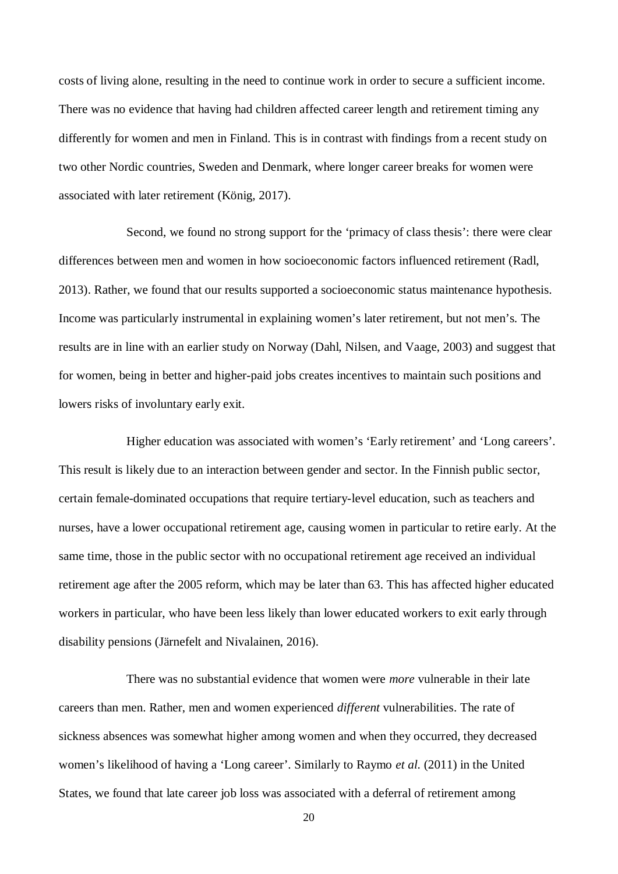costs of living alone, resulting in the need to continue work in order to secure a sufficient income. There was no evidence that having had children affected career length and retirement timing any differently for women and men in Finland. This is in contrast with findings from a recent study on two other Nordic countries, Sweden and Denmark, where longer career breaks for women were associated with later retirement (König, 2017).

Second, we found no strong support for the 'primacy of class thesis': there were clear differences between men and women in how socioeconomic factors influenced retirement (Radl, 2013). Rather, we found that our results supported a socioeconomic status maintenance hypothesis. Income was particularly instrumental in explaining women's later retirement, but not men's. The results are in line with an earlier study on Norway (Dahl, Nilsen, and Vaage, 2003) and suggest that for women, being in better and higher-paid jobs creates incentives to maintain such positions and lowers risks of involuntary early exit.

Higher education was associated with women's 'Early retirement' and 'Long careers'. This result is likely due to an interaction between gender and sector. In the Finnish public sector, certain female-dominated occupations that require tertiary-level education, such as teachers and nurses, have a lower occupational retirement age, causing women in particular to retire early. At the same time, those in the public sector with no occupational retirement age received an individual retirement age after the 2005 reform, which may be later than 63. This has affected higher educated workers in particular, who have been less likely than lower educated workers to exit early through disability pensions (Järnefelt and Nivalainen, 2016).

There was no substantial evidence that women were *more* vulnerable in their late careers than men. Rather, men and women experienced *different* vulnerabilities. The rate of sickness absences was somewhat higher among women and when they occurred, they decreased women's likelihood of having a 'Long career'. Similarly to Raymo *et al.* (2011) in the United States, we found that late career job loss was associated with a deferral of retirement among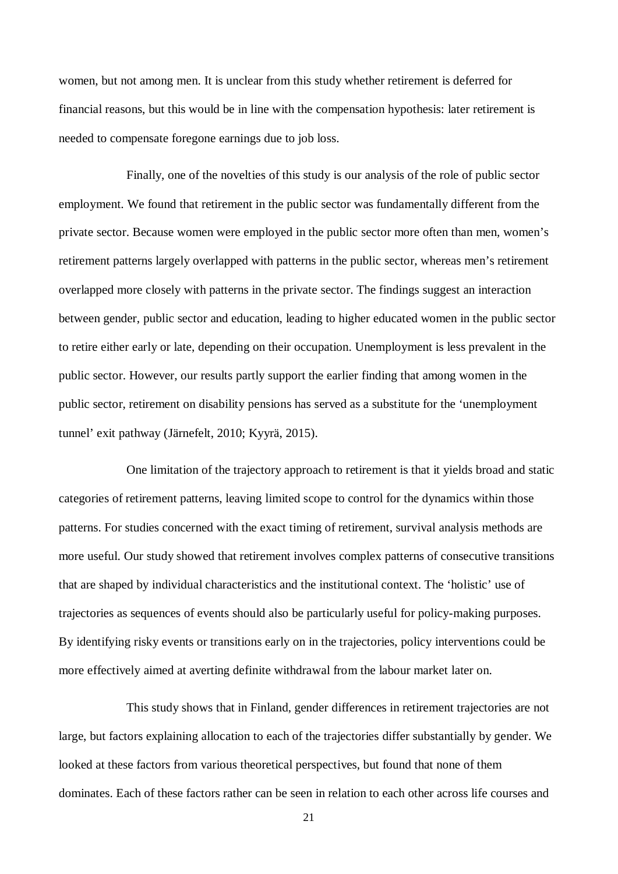women, but not among men. It is unclear from this study whether retirement is deferred for financial reasons, but this would be in line with the compensation hypothesis: later retirement is needed to compensate foregone earnings due to job loss.

Finally, one of the novelties of this study is our analysis of the role of public sector employment. We found that retirement in the public sector was fundamentally different from the private sector. Because women were employed in the public sector more often than men, women's retirement patterns largely overlapped with patterns in the public sector, whereas men's retirement overlapped more closely with patterns in the private sector. The findings suggest an interaction between gender, public sector and education, leading to higher educated women in the public sector to retire either early or late, depending on their occupation. Unemployment is less prevalent in the public sector. However, our results partly support the earlier finding that among women in the public sector, retirement on disability pensions has served as a substitute for the 'unemployment tunnel' exit pathway (Järnefelt, 2010; Kyyrä, 2015).

One limitation of the trajectory approach to retirement is that it yields broad and static categories of retirement patterns, leaving limited scope to control for the dynamics within those patterns. For studies concerned with the exact timing of retirement, survival analysis methods are more useful. Our study showed that retirement involves complex patterns of consecutive transitions that are shaped by individual characteristics and the institutional context. The 'holistic' use of trajectories as sequences of events should also be particularly useful for policy-making purposes. By identifying risky events or transitions early on in the trajectories, policy interventions could be more effectively aimed at averting definite withdrawal from the labour market later on.

This study shows that in Finland, gender differences in retirement trajectories are not large, but factors explaining allocation to each of the trajectories differ substantially by gender. We looked at these factors from various theoretical perspectives, but found that none of them dominates. Each of these factors rather can be seen in relation to each other across life courses and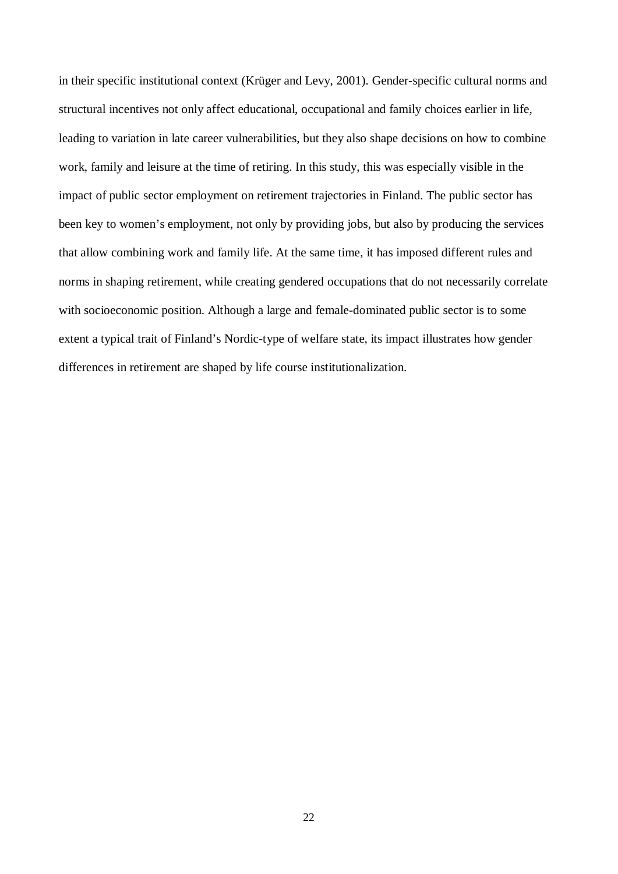in their specific institutional context (Krüger and Levy, 2001). Gender-specific cultural norms and structural incentives not only affect educational, occupational and family choices earlier in life, leading to variation in late career vulnerabilities, but they also shape decisions on how to combine work, family and leisure at the time of retiring. In this study, this was especially visible in the impact of public sector employment on retirement trajectories in Finland. The public sector has been key to women's employment, not only by providing jobs, but also by producing the services that allow combining work and family life. At the same time, it has imposed different rules and norms in shaping retirement, while creating gendered occupations that do not necessarily correlate with socioeconomic position. Although a large and female-dominated public sector is to some extent a typical trait of Finland's Nordic-type of welfare state, its impact illustrates how gender differences in retirement are shaped by life course institutionalization.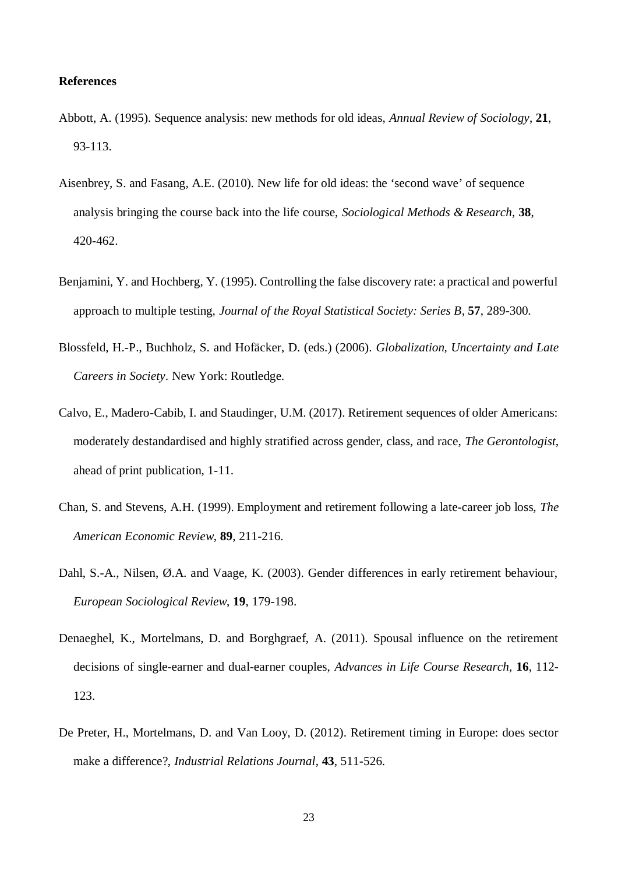#### **References**

- Abbott, A. (1995). Sequence analysis: new methods for old ideas, *Annual Review of Sociology*, **21**, 93-113.
- Aisenbrey, S. and Fasang, A.E. (2010). New life for old ideas: the 'second wave' of sequence analysis bringing the course back into the life course, *Sociological Methods & Research*, **38**, 420-462.
- Benjamini, Y. and Hochberg, Y. (1995). Controlling the false discovery rate: a practical and powerful approach to multiple testing, *Journal of the Royal Statistical Society: Series B*, **57**, 289-300.
- Blossfeld, H.-P., Buchholz, S. and Hofäcker, D. (eds.) (2006). *Globalization, Uncertainty and Late Careers in Society*. New York: Routledge.
- Calvo, E., Madero-Cabib, I. and Staudinger, U.M. (2017). Retirement sequences of older Americans: moderately destandardised and highly stratified across gender, class, and race, *The Gerontologist*, ahead of print publication, 1-11.
- Chan, S. and Stevens, A.H. (1999). Employment and retirement following a late-career job loss, *The American Economic Review*, **89**, 211-216.
- Dahl, S.-A., Nilsen, Ø.A. and Vaage, K. (2003). Gender differences in early retirement behaviour, *European Sociological Review*, **19**, 179-198.
- Denaeghel, K., Mortelmans, D. and Borghgraef, A. (2011). Spousal influence on the retirement decisions of single-earner and dual-earner couples, *Advances in Life Course Research*, **16**, 112- 123.
- De Preter, H., Mortelmans, D. and Van Looy, D. (2012). Retirement timing in Europe: does sector make a difference?, *Industrial Relations Journal*, **43**, 511-526.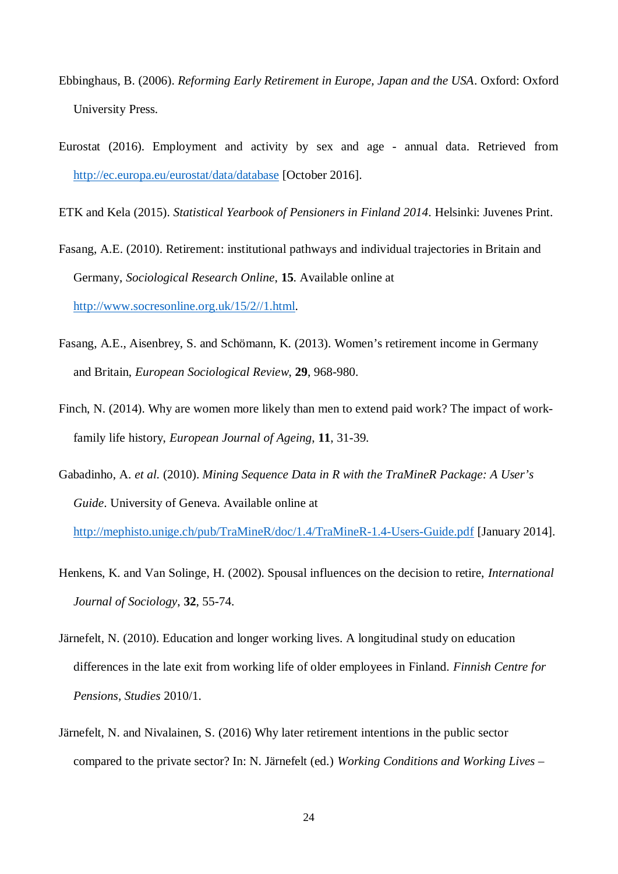- Ebbinghaus, B. (2006). *Reforming Early Retirement in Europe, Japan and the USA*. Oxford: Oxford University Press.
- Eurostat (2016). Employment and activity by sex and age annual data. Retrieved from <http://ec.europa.eu/eurostat/data/database>[October 2016].
- ETK and Kela (2015). *Statistical Yearbook of Pensioners in Finland 2014*. Helsinki: Juvenes Print.

Fasang, A.E. (2010). Retirement: institutional pathways and individual trajectories in Britain and Germany, *Sociological Research Online*, **15**. Available online at [http://www.socresonline.org.uk/15/2//1.html.](http://www.socresonline.org.uk/15/2//1.html)

- Fasang, A.E., Aisenbrey, S. and Schömann, K. (2013). Women's retirement income in Germany and Britain, *European Sociological Review*, **29**, 968-980.
- Finch, N. (2014). Why are women more likely than men to extend paid work? The impact of workfamily life history, *European Journal of Ageing*, **11**, 31-39.
- Gabadinho, A. *et al.* (2010). *Mining Sequence Data in R with the TraMineR Package: A User's Guide*. University of Geneva. Available online at

<http://mephisto.unige.ch/pub/TraMineR/doc/1.4/TraMineR-1.4-Users-Guide.pdf>[January 2014].

- Henkens, K. and Van Solinge, H. (2002). Spousal influences on the decision to retire, *International Journal of Sociology*, **32**, 55-74.
- Järnefelt, N. (2010). Education and longer working lives. A longitudinal study on education differences in the late exit from working life of older employees in Finland. *Finnish Centre for Pensions, Studies* 2010/1.
- Järnefelt, N. and Nivalainen, S. (2016) Why later retirement intentions in the public sector compared to the private sector? In: N. Järnefelt (ed.) *Working Conditions and Working Lives –*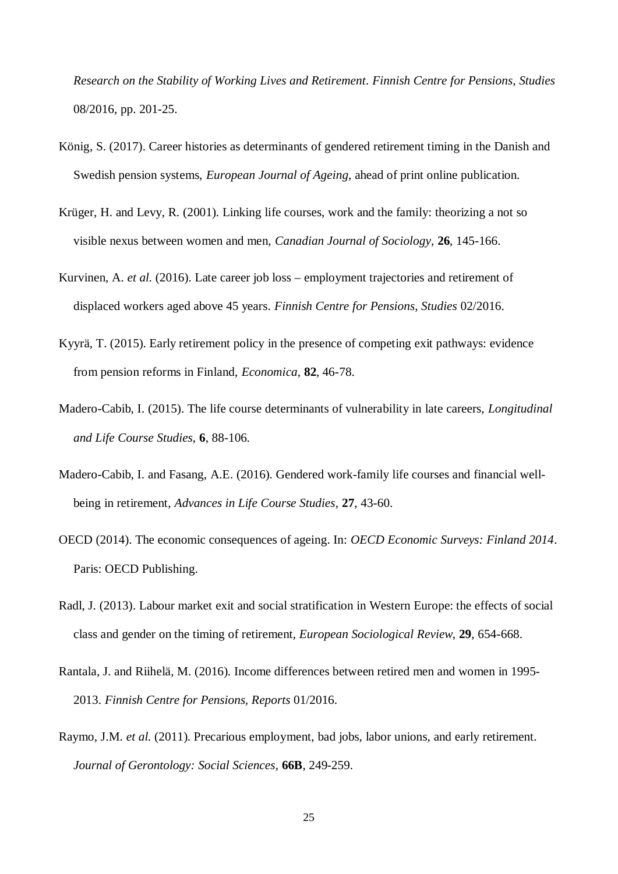*Research on the Stability of Working Lives and Retirement*. *Finnish Centre for Pensions, Studies* 08/2016, pp. 201-25.

- König, S. (2017). Career histories as determinants of gendered retirement timing in the Danish and Swedish pension systems, *European Journal of Ageing*, ahead of print online publication.
- Krüger, H. and Levy, R. (2001). Linking life courses, work and the family: theorizing a not so visible nexus between women and men, *Canadian Journal of Sociology*, **26**, 145-166.
- Kurvinen, A. *et al.* (2016). Late career job loss employment trajectories and retirement of displaced workers aged above 45 years. *Finnish Centre for Pensions, Studies* 02/2016.
- Kyyrä, T. (2015). Early retirement policy in the presence of competing exit pathways: evidence from pension reforms in Finland, *Economica*, **82**, 46-78.
- Madero-Cabib, I. (2015). The life course determinants of vulnerability in late careers, *Longitudinal and Life Course Studies*, **6**, 88-106.
- Madero-Cabib, I. and Fasang, A.E. (2016). Gendered work-family life courses and financial wellbeing in retirement, *Advances in Life Course Studies*, **27**, 43-60.
- OECD (2014). The economic consequences of ageing. In: *OECD Economic Surveys: Finland 2014*. Paris: OECD Publishing.
- Radl, J. (2013). Labour market exit and social stratification in Western Europe: the effects of social class and gender on the timing of retirement, *European Sociological Review*, **29**, 654-668.
- Rantala, J. and Riihelä, M. (2016). Income differences between retired men and women in 1995- 2013. *Finnish Centre for Pensions, Reports* 01/2016.
- Raymo, J.M. *et al.* (2011). Precarious employment, bad jobs, labor unions, and early retirement. *Journal of Gerontology: Social Sciences*, **66B**, 249-259.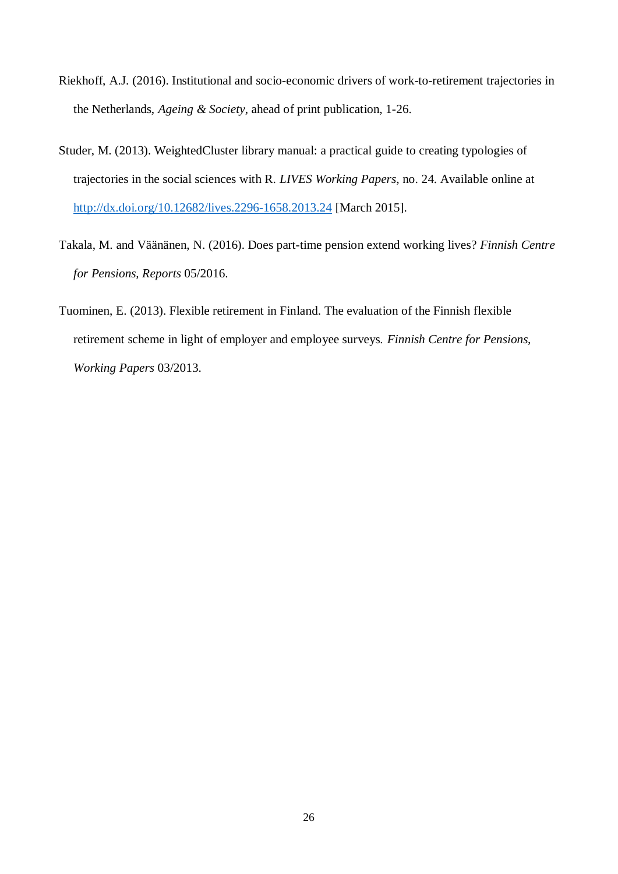- Riekhoff, A.J. (2016). Institutional and socio-economic drivers of work-to-retirement trajectories in the Netherlands, *Ageing & Society*, ahead of print publication, 1-26.
- Studer, M. (2013). WeightedCluster library manual: a practical guide to creating typologies of trajectories in the social sciences with R. *LIVES Working Papers*, no. 24. Available online at <http://dx.doi.org/10.12682/lives.2296-1658.2013.24> [March 2015].
- Takala, M. and Väänänen, N. (2016). Does part-time pension extend working lives? *Finnish Centre for Pensions, Reports* 05/2016.
- Tuominen, E. (2013). Flexible retirement in Finland. The evaluation of the Finnish flexible retirement scheme in light of employer and employee surveys. *Finnish Centre for Pensions, Working Papers* 03/2013.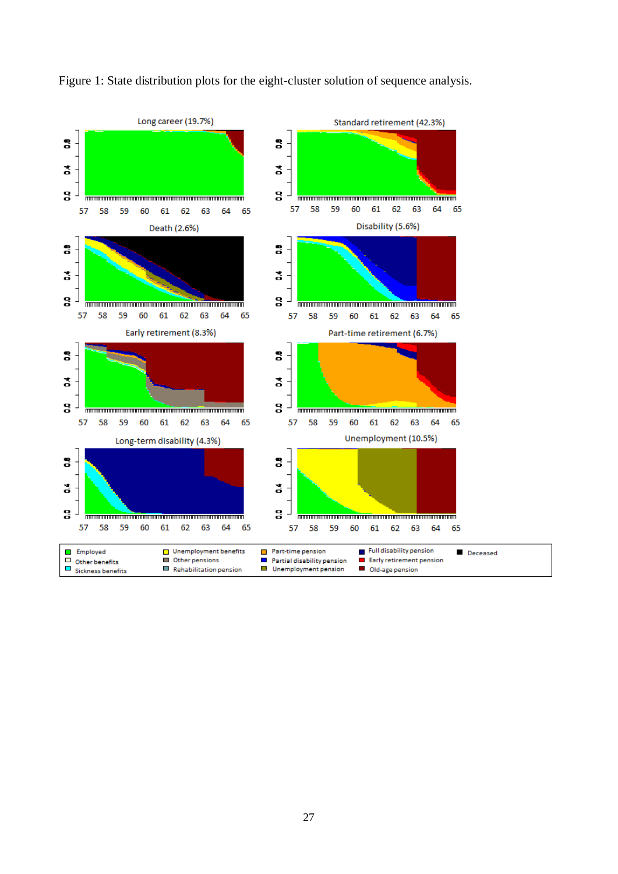

# Figure 1: State distribution plots for the eight-cluster solution of sequence analysis.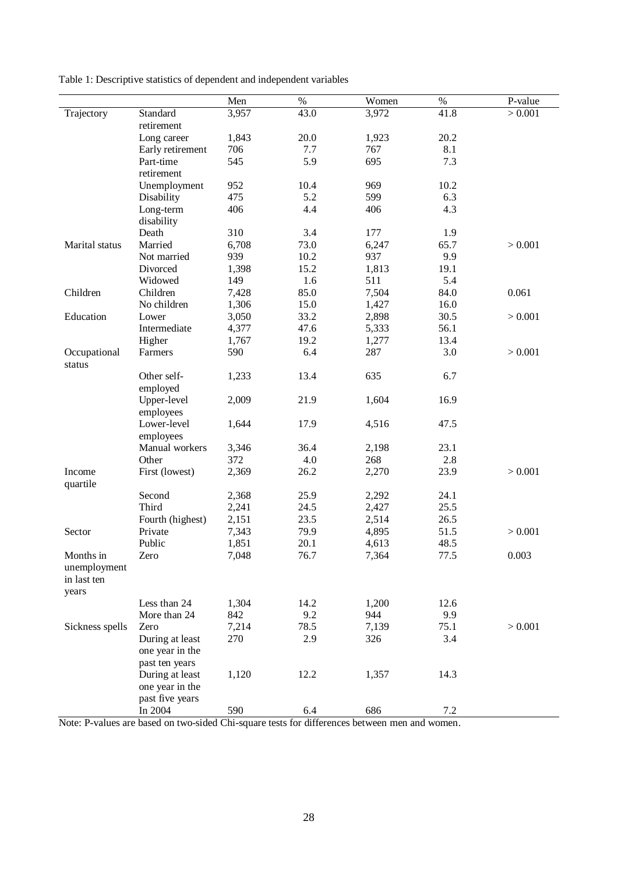|                           |                                    | Men   | $\%$ | Women | $\%$ | P-value |
|---------------------------|------------------------------------|-------|------|-------|------|---------|
| Trajectory                | Standard                           | 3,957 | 43.0 | 3,972 | 41.8 | > 0.001 |
|                           | retirement                         |       |      |       |      |         |
|                           | Long career                        | 1,843 | 20.0 | 1,923 | 20.2 |         |
|                           | Early retirement                   | 706   | 7.7  | 767   | 8.1  |         |
|                           | Part-time                          | 545   | 5.9  | 695   | 7.3  |         |
|                           | retirement                         |       |      |       |      |         |
|                           | Unemployment                       | 952   | 10.4 | 969   | 10.2 |         |
|                           | Disability                         | 475   | 5.2  | 599   | 6.3  |         |
|                           | Long-term                          | 406   | 4.4  | 406   | 4.3  |         |
|                           | disability                         |       |      |       |      |         |
|                           | Death                              | 310   | 3.4  | 177   | 1.9  |         |
| Marital status            | Married                            | 6,708 | 73.0 | 6,247 | 65.7 | > 0.001 |
|                           | Not married                        | 939   | 10.2 | 937   | 9.9  |         |
|                           | Divorced                           | 1,398 | 15.2 | 1,813 | 19.1 |         |
|                           | Widowed                            | 149   | 1.6  | 511   | 5.4  |         |
| Children                  | Children                           | 7,428 | 85.0 | 7,504 | 84.0 | 0.061   |
|                           | No children                        | 1,306 | 15.0 | 1,427 | 16.0 |         |
| Education                 | Lower                              | 3,050 | 33.2 | 2,898 | 30.5 | > 0.001 |
|                           | Intermediate                       | 4,377 | 47.6 | 5,333 | 56.1 |         |
|                           | Higher                             | 1,767 | 19.2 | 1,277 | 13.4 |         |
| Occupational<br>status    | Farmers                            | 590   | 6.4  | 287   | 3.0  | > 0.001 |
|                           | Other self-<br>employed            | 1,233 | 13.4 | 635   | 6.7  |         |
|                           | Upper-level                        | 2,009 | 21.9 | 1,604 | 16.9 |         |
|                           | employees<br>Lower-level           | 1,644 | 17.9 | 4,516 | 47.5 |         |
|                           | employees                          |       |      |       |      |         |
|                           | Manual workers                     | 3,346 | 36.4 | 2,198 | 23.1 |         |
|                           | Other                              | 372   | 4.0  | 268   | 2.8  |         |
| Income<br>quartile        | First (lowest)                     | 2,369 | 26.2 | 2,270 | 23.9 | > 0.001 |
|                           | Second                             | 2,368 | 25.9 | 2,292 | 24.1 |         |
|                           | Third                              | 2,241 | 24.5 | 2,427 | 25.5 |         |
|                           | Fourth (highest)                   | 2,151 | 23.5 | 2,514 | 26.5 |         |
| Sector                    | Private                            | 7,343 | 79.9 | 4,895 | 51.5 | > 0.001 |
|                           | Public                             | 1,851 | 20.1 | 4,613 | 48.5 |         |
| Months in<br>unemployment | Zero                               | 7,048 | 76.7 | 7,364 | 77.5 | 0.003   |
| in last ten<br>years      |                                    |       |      |       |      |         |
|                           | Less than 24                       | 1,304 | 14.2 | 1,200 | 12.6 |         |
|                           | More than 24                       | 842   | 9.2  | 944   | 9.9  |         |
| Sickness spells           | Zero                               | 7,214 | 78.5 | 7,139 | 75.1 | > 0.001 |
|                           | During at least<br>one year in the | 270   | 2.9  | 326   | 3.4  |         |
|                           | past ten years                     |       |      |       |      |         |
|                           | During at least<br>one year in the | 1,120 | 12.2 | 1,357 | 14.3 |         |
|                           | past five years<br>In $2004$       | 590   | 6.4  | 686   | 7.2  |         |

Note: P-values are based on two-sided Chi-square tests for differences between men and women.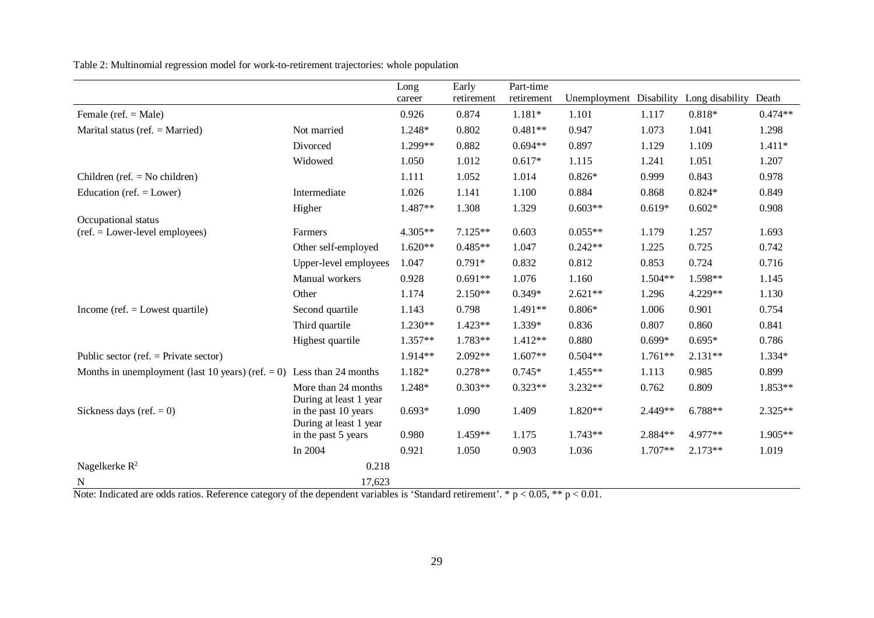|                                                                          |                                                                          | Long      | Early      | Part-time  |                         |           |                 |           |
|--------------------------------------------------------------------------|--------------------------------------------------------------------------|-----------|------------|------------|-------------------------|-----------|-----------------|-----------|
|                                                                          |                                                                          | career    | retirement | retirement | Unemployment Disability |           | Long disability | Death     |
| Female (ref. $=$ Male)                                                   |                                                                          | 0.926     | 0.874      | $1.181*$   | 1.101                   | 1.117     | $0.818*$        | $0.474**$ |
| Marital status (ref. $=$ Married)                                        | Not married                                                              | 1.248*    | 0.802      | $0.481**$  | 0.947                   | 1.073     | 1.041           | 1.298     |
|                                                                          | Divorced                                                                 | 1.299**   | 0.882      | $0.694**$  | 0.897                   | 1.129     | 1.109           | $1.411*$  |
|                                                                          | Widowed                                                                  | 1.050     | 1.012      | $0.617*$   | 1.115                   | 1.241     | 1.051           | 1.207     |
| Children (ref. $=$ No children)                                          |                                                                          | 1.111     | 1.052      | 1.014      | $0.826*$                | 0.999     | 0.843           | 0.978     |
| Education (ref. $=$ Lower)                                               | Intermediate                                                             | 1.026     | 1.141      | 1.100      | 0.884                   | 0.868     | $0.824*$        | 0.849     |
|                                                                          | Higher                                                                   | 1.487**   | 1.308      | 1.329      | $0.603**$               | $0.619*$  | $0.602*$        | 0.908     |
| Occupational status                                                      |                                                                          |           |            |            |                         |           |                 |           |
| $ref. = Lower-level employees)$                                          | Farmers                                                                  | $4.305**$ | $7.125**$  | 0.603      | $0.055**$               | 1.179     | 1.257           | 1.693     |
|                                                                          | Other self-employed                                                      | $1.620**$ | $0.485**$  | 1.047      | $0.242**$               | 1.225     | 0.725           | 0.742     |
|                                                                          | Upper-level employees                                                    | 1.047     | $0.791*$   | 0.832      | 0.812                   | 0.853     | 0.724           | 0.716     |
|                                                                          | Manual workers                                                           | 0.928     | $0.691**$  | 1.076      | 1.160                   | $1.504**$ | 1.598**         | 1.145     |
|                                                                          | Other                                                                    | 1.174     | $2.150**$  | $0.349*$   | $2.621**$               | 1.296     | 4.229**         | 1.130     |
| Income (ref. $=$ Lowest quartile)                                        | Second quartile                                                          | 1.143     | 0.798      | 1.491**    | $0.806*$                | 1.006     | 0.901           | 0.754     |
|                                                                          | Third quartile                                                           | $1.230**$ | $1.423**$  | 1.339*     | 0.836                   | 0.807     | 0.860           | 0.841     |
|                                                                          | Highest quartile                                                         | $1.357**$ | 1.783**    | $1.412**$  | 0.880                   | $0.699*$  | $0.695*$        | 0.786     |
| Public sector (ref. $=$ Private sector)                                  |                                                                          | $1.914**$ | 2.092**    | $1.607**$  | $0.504**$               | $1.761**$ | $2.131**$       | 1.334*    |
| Months in unemployment (last 10 years) (ref. $= 0$ ) Less than 24 months |                                                                          | 1.182*    | $0.278**$  | $0.745*$   | 1.455**                 | 1.113     | 0.985           | 0.899     |
|                                                                          | More than 24 months                                                      | 1.248*    | $0.303**$  | $0.323**$  | 3.232**                 | 0.762     | 0.809           | 1.853**   |
| Sickness days (ref. $= 0$ )                                              | During at least 1 year<br>in the past 10 years<br>During at least 1 year | $0.693*$  | 1.090      | 1.409      | $1.820**$               | 2.449**   | 6.788**         | $2.325**$ |
|                                                                          | in the past 5 years                                                      | 0.980     | 1.459**    | 1.175      | 1.743**                 | 2.884**   | 4.977**         | 1.905**   |
|                                                                          | In 2004                                                                  | 0.921     | 1.050      | 0.903      | 1.036                   | 1.707**   | $2.173**$       | 1.019     |
| Nagelkerke $R^2$                                                         | 0.218                                                                    |           |            |            |                         |           |                 |           |
| ${\bf N}$                                                                | 17,623                                                                   |           |            |            |                         |           |                 |           |

Table 2: Multinomial regression model for work-to-retirement trajectories: whole population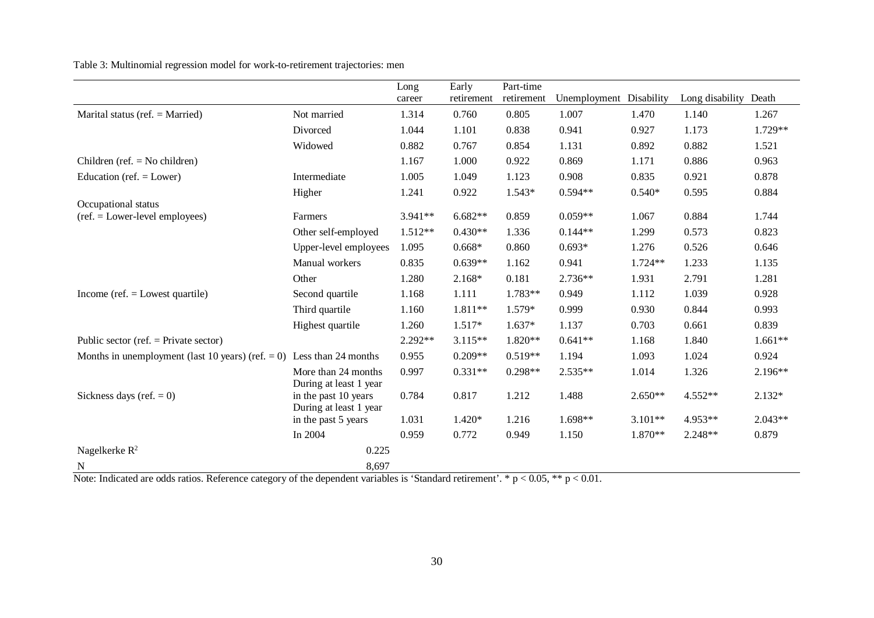Table 3: Multinomial regression model for work-to-retirement trajectories: men

|                                                      |                                                | Long      | Early      | Part-time  |                         |           |                 |           |
|------------------------------------------------------|------------------------------------------------|-----------|------------|------------|-------------------------|-----------|-----------------|-----------|
|                                                      |                                                | career    | retirement | retirement | Unemployment Disability |           | Long disability | Death     |
| Marital status (ref. $=$ Married)                    | Not married                                    | 1.314     | 0.760      | 0.805      | 1.007                   | 1.470     | 1.140           | 1.267     |
|                                                      | Divorced                                       | 1.044     | 1.101      | 0.838      | 0.941                   | 0.927     | 1.173           | 1.729**   |
|                                                      | Widowed                                        | 0.882     | 0.767      | 0.854      | 1.131                   | 0.892     | 0.882           | 1.521     |
| Children (ref. $=$ No children)                      |                                                | 1.167     | 1.000      | 0.922      | 0.869                   | 1.171     | 0.886           | 0.963     |
| Education (ref. $=$ Lower)                           | Intermediate                                   | 1.005     | 1.049      | 1.123      | 0.908                   | 0.835     | 0.921           | 0.878     |
|                                                      | Higher                                         | 1.241     | 0.922      | 1.543*     | $0.594**$               | $0.540*$  | 0.595           | 0.884     |
| Occupational status                                  |                                                |           |            |            |                         |           |                 |           |
| $ref. = Lower-level employees)$                      | Farmers                                        | $3.941**$ | $6.682**$  | 0.859      | $0.059**$               | 1.067     | 0.884           | 1.744     |
|                                                      | Other self-employed                            | $1.512**$ | $0.430**$  | 1.336      | $0.144**$               | 1.299     | 0.573           | 0.823     |
|                                                      | Upper-level employees                          | 1.095     | $0.668*$   | 0.860      | $0.693*$                | 1.276     | 0.526           | 0.646     |
|                                                      | Manual workers                                 | 0.835     | $0.639**$  | 1.162      | 0.941                   | $1.724**$ | 1.233           | 1.135     |
|                                                      | Other                                          | 1.280     | 2.168*     | 0.181      | 2.736**                 | 1.931     | 2.791           | 1.281     |
| Income (ref. $=$ Lowest quartile)                    | Second quartile                                | 1.168     | 1.111      | 1.783**    | 0.949                   | 1.112     | 1.039           | 0.928     |
|                                                      | Third quartile                                 | 1.160     | 1.811**    | 1.579*     | 0.999                   | 0.930     | 0.844           | 0.993     |
|                                                      | Highest quartile                               | 1.260     | 1.517*     | $1.637*$   | 1.137                   | 0.703     | 0.661           | 0.839     |
| Public sector (ref. $=$ Private sector)              |                                                | 2.292**   | $3.115**$  | 1.820**    | $0.641**$               | 1.168     | 1.840           | $1.661**$ |
| Months in unemployment (last 10 years) (ref. $= 0$ ) | Less than 24 months                            | 0.955     | $0.209**$  | $0.519**$  | 1.194                   | 1.093     | 1.024           | 0.924     |
|                                                      | More than 24 months<br>During at least 1 year  | 0.997     | $0.331**$  | $0.298**$  | 2.535**                 | 1.014     | 1.326           | 2.196**   |
| Sickness days (ref. $= 0$ )                          | in the past 10 years<br>During at least 1 year | 0.784     | 0.817      | 1.212      | 1.488                   | $2.650**$ | $4.552**$       | $2.132*$  |
|                                                      | in the past 5 years                            | 1.031     | 1.420*     | 1.216      | 1.698**                 | $3.101**$ | 4.953**         | $2.043**$ |
|                                                      | In 2004                                        | 0.959     | 0.772      | 0.949      | 1.150                   | 1.870**   | $2.248**$       | 0.879     |
| Nagelkerke $R^2$                                     | 0.225                                          |           |            |            |                         |           |                 |           |
| N                                                    | 8,697                                          |           |            |            |                         |           |                 |           |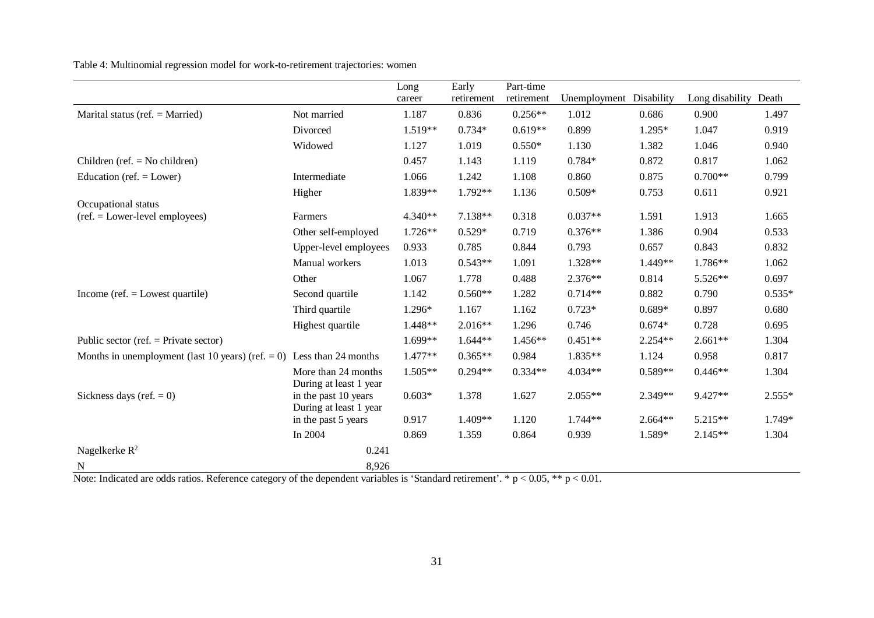Table 4: Multinomial regression model for work-to-retirement trajectories: women

|                                                                          |                                                | Long      | Early      | Part-time  |                         |           |                 |          |
|--------------------------------------------------------------------------|------------------------------------------------|-----------|------------|------------|-------------------------|-----------|-----------------|----------|
|                                                                          |                                                | career    | retirement | retirement | Unemployment Disability |           | Long disability | Death    |
| Marital status (ref. $=$ Married)                                        | Not married                                    | 1.187     | 0.836      | $0.256**$  | 1.012                   | 0.686     | 0.900           | 1.497    |
|                                                                          | Divorced                                       | 1.519**   | $0.734*$   | $0.619**$  | 0.899                   | 1.295*    | 1.047           | 0.919    |
|                                                                          | Widowed                                        | 1.127     | 1.019      | $0.550*$   | 1.130                   | 1.382     | 1.046           | 0.940    |
| Children (ref. $=$ No children)                                          |                                                | 0.457     | 1.143      | 1.119      | $0.784*$                | 0.872     | 0.817           | 1.062    |
| Education (ref. $=$ Lower)                                               | Intermediate                                   | 1.066     | 1.242      | 1.108      | 0.860                   | 0.875     | $0.700**$       | 0.799    |
|                                                                          | Higher                                         | 1.839**   | 1.792**    | 1.136      | $0.509*$                | 0.753     | 0.611           | 0.921    |
| Occupational status                                                      |                                                |           |            |            |                         |           |                 |          |
| $(ref. = Lower-level employees)$                                         | Farmers                                        | 4.340**   | 7.138**    | 0.318      | $0.037**$               | 1.591     | 1.913           | 1.665    |
|                                                                          | Other self-employed                            | $1.726**$ | $0.529*$   | 0.719      | $0.376**$               | 1.386     | 0.904           | 0.533    |
|                                                                          | Upper-level employees                          | 0.933     | 0.785      | 0.844      | 0.793                   | 0.657     | 0.843           | 0.832    |
|                                                                          | Manual workers                                 | 1.013     | $0.543**$  | 1.091      | 1.328**                 | $1.449**$ | 1.786**         | 1.062    |
|                                                                          | Other                                          | 1.067     | 1.778      | 0.488      | $2.376**$               | 0.814     | 5.526**         | 0.697    |
| Income (ref. $=$ Lowest quartile)                                        | Second quartile                                | 1.142     | $0.560**$  | 1.282      | $0.714**$               | 0.882     | 0.790           | $0.535*$ |
|                                                                          | Third quartile                                 | 1.296*    | 1.167      | 1.162      | $0.723*$                | $0.689*$  | 0.897           | 0.680    |
|                                                                          | Highest quartile                               | 1.448**   | $2.016**$  | 1.296      | 0.746                   | $0.674*$  | 0.728           | 0.695    |
| Public sector (ref. $=$ Private sector)                                  |                                                | $1.699**$ | 1.644**    | $1.456**$  | $0.451**$               | $2.254**$ | $2.661**$       | 1.304    |
| Months in unemployment (last 10 years) (ref. $= 0$ ) Less than 24 months |                                                | $1.477**$ | $0.365**$  | 0.984      | 1.835**                 | 1.124     | 0.958           | 0.817    |
|                                                                          | More than 24 months<br>During at least 1 year  | $1.505**$ | $0.294**$  | $0.334**$  | 4.034**                 | $0.589**$ | $0.446**$       | 1.304    |
| Sickness days (ref. $= 0$ )                                              | in the past 10 years<br>During at least 1 year | $0.603*$  | 1.378      | 1.627      | 2.055**                 | 2.349**   | 9.427**         | $2.555*$ |
|                                                                          | in the past 5 years                            | 0.917     | $1.409**$  | 1.120      | $1.744**$               | $2.664**$ | 5.215**         | 1.749*   |
|                                                                          | In 2004                                        | 0.869     | 1.359      | 0.864      | 0.939                   | 1.589*    | $2.145**$       | 1.304    |
| Nagelkerke $\mathbf{R}^2$                                                | 0.241                                          |           |            |            |                         |           |                 |          |
| N                                                                        | 8,926                                          |           |            |            |                         |           |                 |          |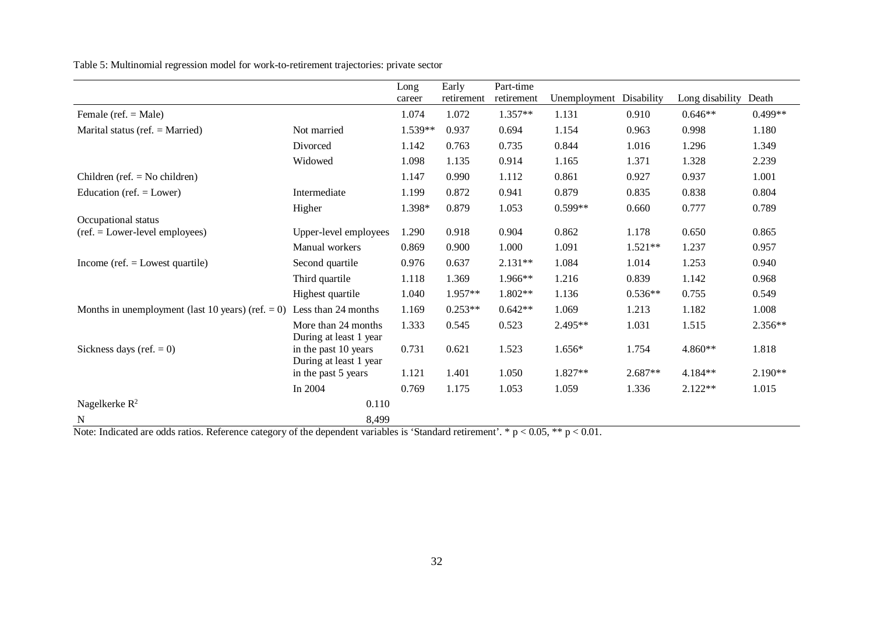| Table 5: Multinomial regression model for work-to-retirement trajectories: private sector |  |
|-------------------------------------------------------------------------------------------|--|
|-------------------------------------------------------------------------------------------|--|

|                                                      |                                                | Long    | Early      | Part-time  |                         |           |                 |           |
|------------------------------------------------------|------------------------------------------------|---------|------------|------------|-------------------------|-----------|-----------------|-----------|
|                                                      |                                                | career  | retirement | retirement | Unemployment Disability |           | Long disability | Death     |
| Female (ref. $=$ Male)                               |                                                | 1.074   | 1.072      | $1.357**$  | 1.131                   | 0.910     | $0.646**$       | $0.499**$ |
| Marital status (ref. $=$ Married)                    | Not married                                    | 1.539** | 0.937      | 0.694      | 1.154                   | 0.963     | 0.998           | 1.180     |
|                                                      | Divorced                                       | 1.142   | 0.763      | 0.735      | 0.844                   | 1.016     | 1.296           | 1.349     |
|                                                      | Widowed                                        | 1.098   | 1.135      | 0.914      | 1.165                   | 1.371     | 1.328           | 2.239     |
| Children (ref. $=$ No children)                      |                                                | 1.147   | 0.990      | 1.112      | 0.861                   | 0.927     | 0.937           | 1.001     |
| Education (ref. $=$ Lower)                           | Intermediate                                   | 1.199   | 0.872      | 0.941      | 0.879                   | 0.835     | 0.838           | 0.804     |
|                                                      | Higher                                         | 1.398*  | 0.879      | 1.053      | $0.599**$               | 0.660     | 0.777           | 0.789     |
| Occupational status                                  |                                                |         |            |            |                         |           |                 |           |
| $(ref. = Lower-level employees)$                     | Upper-level employees                          | 1.290   | 0.918      | 0.904      | 0.862                   | 1.178     | 0.650           | 0.865     |
|                                                      | Manual workers                                 | 0.869   | 0.900      | 1.000      | 1.091                   | $1.521**$ | 1.237           | 0.957     |
| Income (ref. $=$ Lowest quartile)                    | Second quartile                                | 0.976   | 0.637      | $2.131**$  | 1.084                   | 1.014     | 1.253           | 0.940     |
|                                                      | Third quartile                                 | 1.118   | 1.369      | 1.966**    | 1.216                   | 0.839     | 1.142           | 0.968     |
|                                                      | Highest quartile                               | 1.040   | 1.957**    | 1.802**    | 1.136                   | $0.536**$ | 0.755           | 0.549     |
| Months in unemployment (last 10 years) (ref. $= 0$ ) | Less than 24 months                            | 1.169   | $0.253**$  | $0.642**$  | 1.069                   | 1.213     | 1.182           | 1.008     |
|                                                      | More than 24 months<br>During at least 1 year  | 1.333   | 0.545      | 0.523      | 2.495**                 | 1.031     | 1.515           | 2.356**   |
| Sickness days (ref. $= 0$ )                          | in the past 10 years<br>During at least 1 year | 0.731   | 0.621      | 1.523      | 1.656*                  | 1.754     | 4.860**         | 1.818     |
|                                                      | in the past 5 years                            | 1.121   | 1.401      | 1.050      | 1.827**                 | $2.687**$ | $4.184**$       | $2.190**$ |
|                                                      | In 2004                                        | 0.769   | 1.175      | 1.053      | 1.059                   | 1.336     | 2.122**         | 1.015     |
| Nagelkerke $R^2$                                     | 0.110                                          |         |            |            |                         |           |                 |           |
| N                                                    | 8,499                                          |         |            |            |                         |           |                 |           |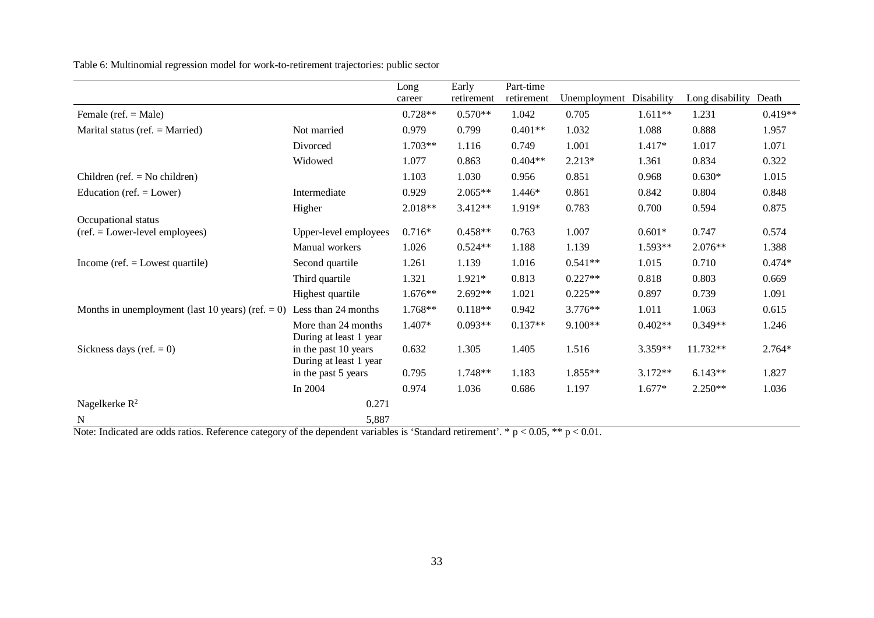Table 6: Multinomial regression model for work-to-retirement trajectories: public sector

|                                                      |                                                | Long      | Early      | Part-time  |              |            |                 |           |
|------------------------------------------------------|------------------------------------------------|-----------|------------|------------|--------------|------------|-----------------|-----------|
|                                                      |                                                | career    | retirement | retirement | Unemployment | Disability | Long disability | Death     |
| Female (ref. $=$ Male)                               |                                                | $0.728**$ | $0.570**$  | 1.042      | 0.705        | $1.611**$  | 1.231           | $0.419**$ |
| Marital status (ref. $=$ Married)                    | Not married                                    | 0.979     | 0.799      | $0.401**$  | 1.032        | 1.088      | 0.888           | 1.957     |
|                                                      | Divorced                                       | 1.703**   | 1.116      | 0.749      | 1.001        | 1.417*     | 1.017           | 1.071     |
|                                                      | Widowed                                        | 1.077     | 0.863      | $0.404**$  | $2.213*$     | 1.361      | 0.834           | 0.322     |
| Children (ref. $=$ No children)                      |                                                | 1.103     | 1.030      | 0.956      | 0.851        | 0.968      | $0.630*$        | 1.015     |
| Education (ref. $=$ Lower)                           | Intermediate                                   | 0.929     | $2.065**$  | 1.446*     | 0.861        | 0.842      | 0.804           | 0.848     |
|                                                      | Higher                                         | 2.018**   | $3.412**$  | 1.919*     | 0.783        | 0.700      | 0.594           | 0.875     |
| Occupational status                                  |                                                |           |            |            |              |            |                 |           |
| $(ref. = Lower-level employees)$                     | Upper-level employees                          | $0.716*$  | $0.458**$  | 0.763      | 1.007        | $0.601*$   | 0.747           | 0.574     |
|                                                      | Manual workers                                 | 1.026     | $0.524**$  | 1.188      | 1.139        | 1.593**    | $2.076**$       | 1.388     |
| Income (ref. $=$ Lowest quartile)                    | Second quartile                                | 1.261     | 1.139      | 1.016      | $0.541**$    | 1.015      | 0.710           | $0.474*$  |
|                                                      | Third quartile                                 | 1.321     | 1.921*     | 0.813      | $0.227**$    | 0.818      | 0.803           | 0.669     |
|                                                      | Highest quartile                               | $1.676**$ | $2.692**$  | 1.021      | $0.225**$    | 0.897      | 0.739           | 1.091     |
| Months in unemployment (last 10 years) (ref. $= 0$ ) | Less than 24 months                            | 1.768**   | $0.118**$  | 0.942      | $3.776**$    | 1.011      | 1.063           | 0.615     |
|                                                      | More than 24 months<br>During at least 1 year  | 1.407*    | $0.093**$  | $0.137**$  | $9.100**$    | $0.402**$  | $0.349**$       | 1.246     |
| Sickness days (ref. $= 0$ )                          | in the past 10 years<br>During at least 1 year | 0.632     | 1.305      | 1.405      | 1.516        | 3.359**    | 11.732**        | $2.764*$  |
|                                                      | in the past 5 years                            | 0.795     | 1.748**    | 1.183      | $1.855**$    | $3.172**$  | $6.143**$       | 1.827     |
|                                                      | In 2004                                        | 0.974     | 1.036      | 0.686      | 1.197        | $1.677*$   | $2.250**$       | 1.036     |
| Nagelkerke $R^2$                                     | 0.271                                          |           |            |            |              |            |                 |           |
| $\underline{\mathbf{N}}$                             | 5,887                                          |           |            |            |              |            |                 |           |